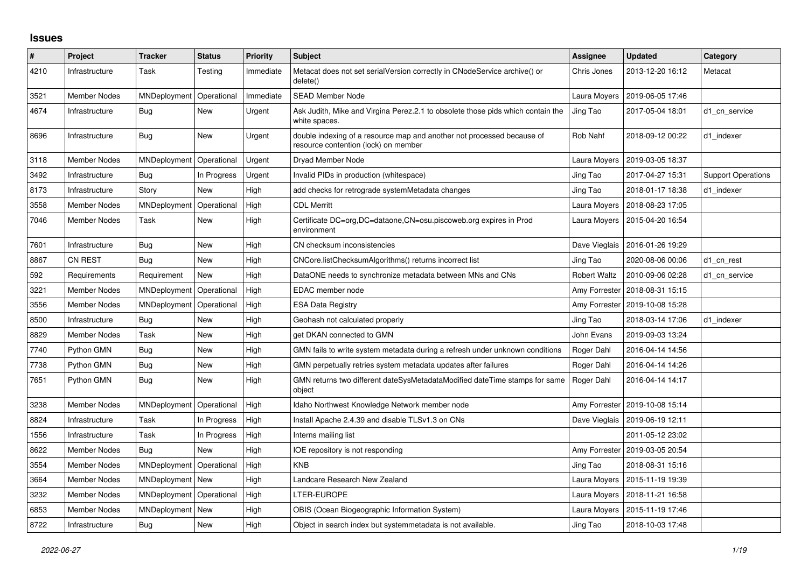## **Issues**

| $\#$ | Project             | <b>Tracker</b> | <b>Status</b> | Priority  | <b>Subject</b>                                                                                                 | Assignee            | <b>Updated</b>                   | Category                  |
|------|---------------------|----------------|---------------|-----------|----------------------------------------------------------------------------------------------------------------|---------------------|----------------------------------|---------------------------|
| 4210 | Infrastructure      | Task           | Testing       | Immediate | Metacat does not set serialVersion correctly in CNodeService archive() or<br>delete()                          | Chris Jones         | 2013-12-20 16:12                 | Metacat                   |
| 3521 | <b>Member Nodes</b> | MNDeployment   | Operational   | Immediate | <b>SEAD Member Node</b>                                                                                        | Laura Moyers        | 2019-06-05 17:46                 |                           |
| 4674 | Infrastructure      | <b>Bug</b>     | New           | Urgent    | Ask Judith, Mike and Virgina Perez.2.1 to obsolete those pids which contain the<br>white spaces.               | Jing Tao            | 2017-05-04 18:01                 | d1 cn service             |
| 8696 | Infrastructure      | Bug            | New           | Urgent    | double indexing of a resource map and another not processed because of<br>resource contention (lock) on member | Rob Nahf            | 2018-09-12 00:22                 | d1 indexer                |
| 3118 | <b>Member Nodes</b> | MNDeployment   | Operational   | Urgent    | Dryad Member Node                                                                                              | Laura Moyers        | 2019-03-05 18:37                 |                           |
| 3492 | Infrastructure      | Bug            | In Progress   | Urgent    | Invalid PIDs in production (whitespace)                                                                        | Jing Tao            | 2017-04-27 15:31                 | <b>Support Operations</b> |
| 8173 | Infrastructure      | Story          | New           | High      | add checks for retrograde systemMetadata changes                                                               | Jing Tao            | 2018-01-17 18:38                 | d1 indexer                |
| 3558 | <b>Member Nodes</b> | MNDeployment   | Operational   | High      | <b>CDL Merritt</b>                                                                                             | Laura Moyers        | 2018-08-23 17:05                 |                           |
| 7046 | <b>Member Nodes</b> | Task           | New           | High      | Certificate DC=org,DC=dataone,CN=osu.piscoweb.org expires in Prod<br>environment                               |                     | Laura Moyers   2015-04-20 16:54  |                           |
| 7601 | Infrastructure      | Bug            | <b>New</b>    | High      | CN checksum inconsistencies                                                                                    | Dave Vieglais       | 2016-01-26 19:29                 |                           |
| 8867 | <b>CN REST</b>      | Bug            | New           | High      | CNCore.listChecksumAlgorithms() returns incorrect list                                                         | Jing Tao            | 2020-08-06 00:06                 | d1 cn rest                |
| 592  | Requirements        | Requirement    | New           | High      | DataONE needs to synchronize metadata between MNs and CNs                                                      | <b>Robert Waltz</b> | 2010-09-06 02:28                 | d1_cn_service             |
| 3221 | <b>Member Nodes</b> | MNDeployment   | Operational   | High      | EDAC member node                                                                                               |                     | Amy Forrester   2018-08-31 15:15 |                           |
| 3556 | <b>Member Nodes</b> | MNDeployment   | Operational   | High      | <b>ESA Data Registry</b>                                                                                       | Amy Forrester       | 2019-10-08 15:28                 |                           |
| 8500 | Infrastructure      | Bug            | New           | High      | Geohash not calculated properly                                                                                | Jing Tao            | 2018-03-14 17:06                 | d1 indexer                |
| 8829 | <b>Member Nodes</b> | Task           | New           | High      | get DKAN connected to GMN                                                                                      | John Evans          | 2019-09-03 13:24                 |                           |
| 7740 | Python GMN          | Bug            | New           | High      | GMN fails to write system metadata during a refresh under unknown conditions                                   | Roger Dahl          | 2016-04-14 14:56                 |                           |
| 7738 | Python GMN          | <b>Bug</b>     | New           | High      | GMN perpetually retries system metadata updates after failures                                                 | Roger Dahl          | 2016-04-14 14:26                 |                           |
| 7651 | Python GMN          | Bug            | New           | High      | GMN returns two different dateSysMetadataModified dateTime stamps for same<br>object                           | Roger Dahl          | 2016-04-14 14:17                 |                           |
| 3238 | <b>Member Nodes</b> | MNDeployment   | Operational   | High      | Idaho Northwest Knowledge Network member node                                                                  | Amy Forrester       | 2019-10-08 15:14                 |                           |
| 8824 | Infrastructure      | Task           | In Progress   | High      | Install Apache 2.4.39 and disable TLSv1.3 on CNs                                                               | Dave Vieglais       | 2019-06-19 12:11                 |                           |
| 1556 | Infrastructure      | Task           | In Progress   | High      | Interns mailing list                                                                                           |                     | 2011-05-12 23:02                 |                           |
| 8622 | <b>Member Nodes</b> | <b>Bug</b>     | <b>New</b>    | High      | IOE repository is not responding                                                                               | Amy Forrester       | 2019-03-05 20:54                 |                           |
| 3554 | <b>Member Nodes</b> | MNDeployment   | Operational   | High      | <b>KNB</b>                                                                                                     | Jing Tao            | 2018-08-31 15:16                 |                           |
| 3664 | <b>Member Nodes</b> | MNDeployment   | New           | High      | Landcare Research New Zealand                                                                                  | Laura Moyers        | 2015-11-19 19:39                 |                           |
| 3232 | <b>Member Nodes</b> | MNDeployment   | Operational   | High      | LTER-EUROPE                                                                                                    | Laura Moyers        | 2018-11-21 16:58                 |                           |
| 6853 | <b>Member Nodes</b> | MNDeployment   | New           | High      | OBIS (Ocean Biogeographic Information System)                                                                  | Laura Moyers        | 2015-11-19 17:46                 |                           |
| 8722 | Infrastructure      | Bug            | New           | High      | Object in search index but systemmetadata is not available.                                                    | Jing Tao            | 2018-10-03 17:48                 |                           |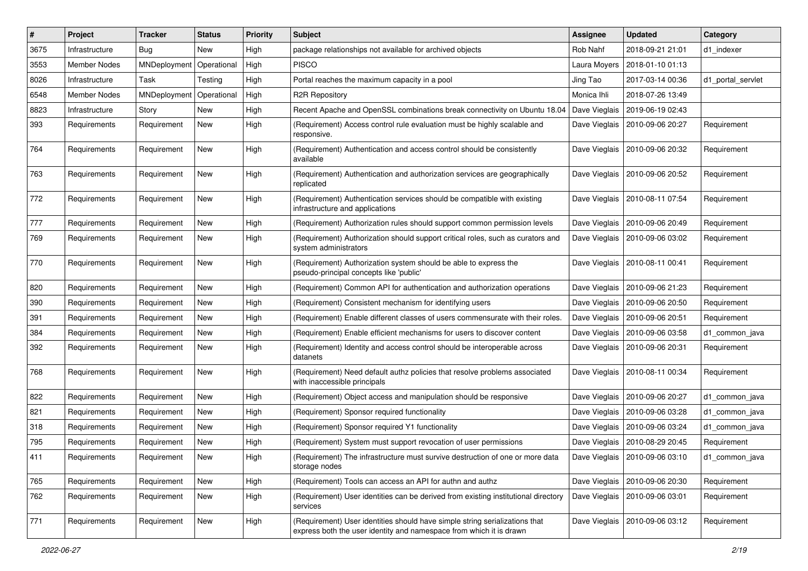| #    | Project        | <b>Tracker</b> | <b>Status</b> | <b>Priority</b> | Subject                                                                                                                                            | <b>Assignee</b> | <b>Updated</b>                   | Category          |
|------|----------------|----------------|---------------|-----------------|----------------------------------------------------------------------------------------------------------------------------------------------------|-----------------|----------------------------------|-------------------|
| 3675 | Infrastructure | <b>Bug</b>     | New           | High            | package relationships not available for archived objects                                                                                           | Rob Nahf        | 2018-09-21 21:01                 | d1 indexer        |
| 3553 | Member Nodes   | MNDeployment   | Operational   | High            | <b>PISCO</b>                                                                                                                                       | Laura Moyers    | 2018-01-10 01:13                 |                   |
| 8026 | Infrastructure | Task           | Testing       | High            | Portal reaches the maximum capacity in a pool                                                                                                      | Jing Tao        | 2017-03-14 00:36                 | d1_portal_servlet |
| 6548 | Member Nodes   | MNDeployment   | Operational   | High            | <b>R2R Repository</b>                                                                                                                              | Monica Ihli     | 2018-07-26 13:49                 |                   |
| 8823 | Infrastructure | Story          | New           | High            | Recent Apache and OpenSSL combinations break connectivity on Ubuntu 18.04                                                                          | Dave Vieglais   | 2019-06-19 02:43                 |                   |
| 393  | Requirements   | Requirement    | New           | High            | (Requirement) Access control rule evaluation must be highly scalable and<br>responsive.                                                            | Dave Vieglais   | 2010-09-06 20:27                 | Requirement       |
| 764  | Requirements   | Requirement    | New           | High            | (Requirement) Authentication and access control should be consistently<br>available                                                                |                 | Dave Vieglais   2010-09-06 20:32 | Requirement       |
| 763  | Requirements   | Requirement    | New           | High            | (Requirement) Authentication and authorization services are geographically<br>replicated                                                           | Dave Vieglais   | 2010-09-06 20:52                 | Requirement       |
| 772  | Requirements   | Requirement    | New           | High            | (Requirement) Authentication services should be compatible with existing<br>infrastructure and applications                                        | Dave Vieglais   | 2010-08-11 07:54                 | Requirement       |
| 777  | Requirements   | Requirement    | New           | High            | (Requirement) Authorization rules should support common permission levels                                                                          | Dave Vieglais   | 2010-09-06 20:49                 | Requirement       |
| 769  | Requirements   | Requirement    | New           | High            | (Requirement) Authorization should support critical roles, such as curators and<br>system administrators                                           | Dave Vieglais   | 2010-09-06 03:02                 | Requirement       |
| 770  | Requirements   | Requirement    | New           | High            | (Requirement) Authorization system should be able to express the<br>pseudo-principal concepts like 'public'                                        |                 | Dave Vieglais   2010-08-11 00:41 | Requirement       |
| 820  | Requirements   | Requirement    | New           | High            | (Requirement) Common API for authentication and authorization operations                                                                           | Dave Vieglais   | 2010-09-06 21:23                 | Requirement       |
| 390  | Requirements   | Requirement    | New           | High            | (Requirement) Consistent mechanism for identifying users                                                                                           | Dave Vieglais   | 2010-09-06 20:50                 | Requirement       |
| 391  | Requirements   | Requirement    | New           | High            | (Requirement) Enable different classes of users commensurate with their roles.                                                                     | Dave Vieglais   | 2010-09-06 20:51                 | Requirement       |
| 384  | Requirements   | Requirement    | New           | High            | (Requirement) Enable efficient mechanisms for users to discover content                                                                            | Dave Vieglais   | 2010-09-06 03:58                 | d1 common java    |
| 392  | Requirements   | Requirement    | New           | High            | (Requirement) Identity and access control should be interoperable across<br>datanets                                                               | Dave Vieglais   | 2010-09-06 20:31                 | Requirement       |
| 768  | Requirements   | Requirement    | New           | High            | (Requirement) Need default authz policies that resolve problems associated<br>with inaccessible principals                                         | Dave Vieglais   | 2010-08-11 00:34                 | Requirement       |
| 822  | Requirements   | Requirement    | New           | High            | (Requirement) Object access and manipulation should be responsive                                                                                  | Dave Vieglais   | 2010-09-06 20:27                 | d1 common java    |
| 821  | Requirements   | Requirement    | New           | High            | (Requirement) Sponsor required functionality                                                                                                       |                 | Dave Vieglais   2010-09-06 03:28 | d1_common_java    |
| 318  | Requirements   | Requirement    | New           | High            | (Requirement) Sponsor required Y1 functionality                                                                                                    | Dave Vieglais   | 2010-09-06 03:24                 | d1 common java    |
| 795  | Requirements   | Requirement    | New           | High            | (Requirement) System must support revocation of user permissions                                                                                   |                 | Dave Vieglais   2010-08-29 20:45 | Requirement       |
| 411  | Requirements   | Requirement    | New           | High            | (Requirement) The infrastructure must survive destruction of one or more data<br>storage nodes                                                     |                 | Dave Vieglais   2010-09-06 03:10 | d1_common_java    |
| 765  | Requirements   | Requirement    | New           | High            | (Requirement) Tools can access an API for authn and authz                                                                                          |                 | Dave Vieglais   2010-09-06 20:30 | Requirement       |
| 762  | Requirements   | Requirement    | New           | High            | (Requirement) User identities can be derived from existing institutional directory<br>services                                                     |                 | Dave Vieglais   2010-09-06 03:01 | Requirement       |
| 771  | Requirements   | Requirement    | New           | High            | (Requirement) User identities should have simple string serializations that<br>express both the user identity and namespace from which it is drawn |                 | Dave Vieglais   2010-09-06 03:12 | Requirement       |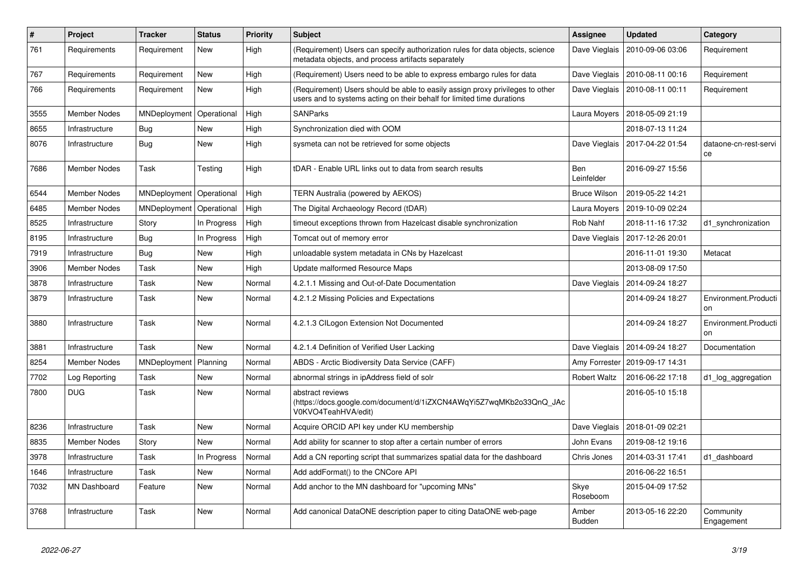| #    | Project             | <b>Tracker</b> | <b>Status</b> | Priority | <b>Subject</b>                                                                                                                                          | Assignee                 | <b>Updated</b>   | Category                    |
|------|---------------------|----------------|---------------|----------|---------------------------------------------------------------------------------------------------------------------------------------------------------|--------------------------|------------------|-----------------------------|
| 761  | Requirements        | Requirement    | <b>New</b>    | High     | (Requirement) Users can specify authorization rules for data objects, science<br>metadata objects, and process artifacts separately                     | Dave Vieglais            | 2010-09-06 03:06 | Requirement                 |
| 767  | Requirements        | Requirement    | <b>New</b>    | High     | (Requirement) Users need to be able to express embargo rules for data                                                                                   | Dave Vieglais            | 2010-08-11 00:16 | Requirement                 |
| 766  | Requirements        | Requirement    | <b>New</b>    | High     | (Requirement) Users should be able to easily assign proxy privileges to other<br>users and to systems acting on their behalf for limited time durations | Dave Vieglais            | 2010-08-11 00:11 | Requirement                 |
| 3555 | <b>Member Nodes</b> | MNDeployment   | Operational   | High     | <b>SANParks</b>                                                                                                                                         | Laura Moyers             | 2018-05-09 21:19 |                             |
| 8655 | Infrastructure      | <b>Bug</b>     | New           | High     | Synchronization died with OOM                                                                                                                           |                          | 2018-07-13 11:24 |                             |
| 8076 | Infrastructure      | <b>Bug</b>     | New           | High     | sysmeta can not be retrieved for some objects                                                                                                           | Dave Vieglais            | 2017-04-22 01:54 | dataone-cn-rest-servi<br>ce |
| 7686 | Member Nodes        | Task           | Testing       | High     | tDAR - Enable URL links out to data from search results                                                                                                 | <b>Ben</b><br>Leinfelder | 2016-09-27 15:56 |                             |
| 6544 | Member Nodes        | MNDeployment   | Operational   | High     | <b>TERN Australia (powered by AEKOS)</b>                                                                                                                | <b>Bruce Wilson</b>      | 2019-05-22 14:21 |                             |
| 6485 | Member Nodes        | MNDeployment   | Operational   | High     | The Digital Archaeology Record (tDAR)                                                                                                                   | Laura Moyers             | 2019-10-09 02:24 |                             |
| 8525 | Infrastructure      | Story          | In Progress   | High     | timeout exceptions thrown from Hazelcast disable synchronization                                                                                        | Rob Nahf                 | 2018-11-16 17:32 | d1 synchronization          |
| 8195 | Infrastructure      | Bug            | In Progress   | High     | Tomcat out of memory error                                                                                                                              | Dave Vieglais            | 2017-12-26 20:01 |                             |
| 7919 | Infrastructure      | <b>Bug</b>     | <b>New</b>    | High     | unloadable system metadata in CNs by Hazelcast                                                                                                          |                          | 2016-11-01 19:30 | Metacat                     |
| 3906 | <b>Member Nodes</b> | Task           | <b>New</b>    | High     | Update malformed Resource Maps                                                                                                                          |                          | 2013-08-09 17:50 |                             |
| 3878 | Infrastructure      | Task           | New           | Normal   | 4.2.1.1 Missing and Out-of-Date Documentation                                                                                                           | Dave Vieglais            | 2014-09-24 18:27 |                             |
| 3879 | Infrastructure      | Task           | <b>New</b>    | Normal   | 4.2.1.2 Missing Policies and Expectations                                                                                                               |                          | 2014-09-24 18:27 | Environment.Producti<br>on  |
| 3880 | Infrastructure      | Task           | <b>New</b>    | Normal   | 4.2.1.3 CILogon Extension Not Documented                                                                                                                |                          | 2014-09-24 18:27 | Environment.Producti<br>on  |
| 3881 | Infrastructure      | Task           | <b>New</b>    | Normal   | 4.2.1.4 Definition of Verified User Lacking                                                                                                             | Dave Vieglais            | 2014-09-24 18:27 | Documentation               |
| 8254 | Member Nodes        | MNDeployment   | Planning      | Normal   | ABDS - Arctic Biodiversity Data Service (CAFF)                                                                                                          | Amy Forrester            | 2019-09-17 14:31 |                             |
| 7702 | Log Reporting       | Task           | New           | Normal   | abnormal strings in ipAddress field of solr                                                                                                             | <b>Robert Waltz</b>      | 2016-06-22 17:18 | d1_log_aggregation          |
| 7800 | <b>DUG</b>          | Task           | <b>New</b>    | Normal   | abstract reviews<br>(https://docs.google.com/document/d/1iZXCN4AWqYi5Z7wqMKb2o33QnQ_JAc<br>V0KVO4TeahHVA/edit)                                          |                          | 2016-05-10 15:18 |                             |
| 8236 | Infrastructure      | Task           | <b>New</b>    | Normal   | Acquire ORCID API key under KU membership                                                                                                               | Dave Vieglais            | 2018-01-09 02:21 |                             |
| 8835 | Member Nodes        | Story          | <b>New</b>    | Normal   | Add ability for scanner to stop after a certain number of errors                                                                                        | John Evans               | 2019-08-12 19:16 |                             |
| 3978 | Infrastructure      | Task           | In Progress   | Normal   | Add a CN reporting script that summarizes spatial data for the dashboard                                                                                | Chris Jones              | 2014-03-31 17:41 | d1 dashboard                |
| 1646 | Infrastructure      | Task           | New           | Normal   | Add addFormat() to the CNCore API                                                                                                                       |                          | 2016-06-22 16:51 |                             |
| 7032 | <b>MN Dashboard</b> | Feature        | New           | Normal   | Add anchor to the MN dashboard for "upcoming MNs"                                                                                                       | Skye<br>Roseboom         | 2015-04-09 17:52 |                             |
| 3768 | Infrastructure      | Task           | <b>New</b>    | Normal   | Add canonical DataONE description paper to citing DataONE web-page                                                                                      | Amber<br><b>Budden</b>   | 2013-05-16 22:20 | Community<br>Engagement     |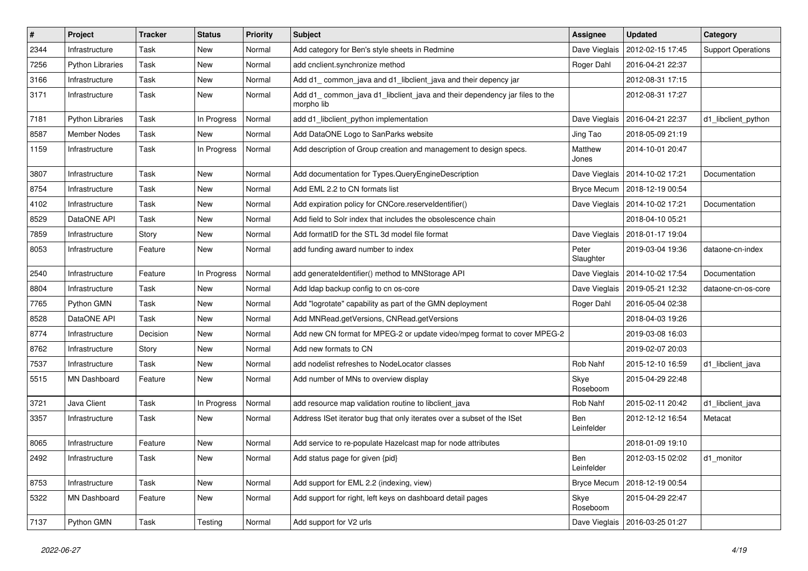| #    | Project                 | <b>Tracker</b> | <b>Status</b> | <b>Priority</b> | <b>Subject</b>                                                                           | <b>Assignee</b>    | <b>Updated</b>                   | Category                  |
|------|-------------------------|----------------|---------------|-----------------|------------------------------------------------------------------------------------------|--------------------|----------------------------------|---------------------------|
| 2344 | Infrastructure          | Task           | New           | Normal          | Add category for Ben's style sheets in Redmine                                           | Dave Vieglais      | 2012-02-15 17:45                 | <b>Support Operations</b> |
| 7256 | <b>Python Libraries</b> | Task           | New           | Normal          | add cnclient.synchronize method                                                          | Roger Dahl         | 2016-04-21 22:37                 |                           |
| 3166 | Infrastructure          | Task           | New           | Normal          | Add d1_common_java and d1_libclient_java and their depency jar                           |                    | 2012-08-31 17:15                 |                           |
| 3171 | Infrastructure          | Task           | New           | Normal          | Add d1_common_java d1_libclient_java and their dependency jar files to the<br>morpho lib |                    | 2012-08-31 17:27                 |                           |
| 7181 | <b>Python Libraries</b> | Task           | In Progress   | Normal          | add d1_libclient_python implementation                                                   | Dave Vieglais      | 2016-04-21 22:37                 | d1_libclient_python       |
| 8587 | Member Nodes            | Task           | New           | Normal          | Add DataONE Logo to SanParks website                                                     | Jing Tao           | 2018-05-09 21:19                 |                           |
| 1159 | Infrastructure          | Task           | In Progress   | Normal          | Add description of Group creation and management to design specs.                        | Matthew<br>Jones   | 2014-10-01 20:47                 |                           |
| 3807 | Infrastructure          | Task           | New           | Normal          | Add documentation for Types.QueryEngineDescription                                       | Dave Vieglais      | 2014-10-02 17:21                 | Documentation             |
| 8754 | Infrastructure          | Task           | New           | Normal          | Add EML 2.2 to CN formats list                                                           | <b>Bryce Mecum</b> | 2018-12-19 00:54                 |                           |
| 4102 | Infrastructure          | Task           | New           | Normal          | Add expiration policy for CNCore.reserveldentifier()                                     |                    | Dave Vieglais   2014-10-02 17:21 | Documentation             |
| 8529 | DataONE API             | Task           | New           | Normal          | Add field to Solr index that includes the obsolescence chain                             |                    | 2018-04-10 05:21                 |                           |
| 7859 | Infrastructure          | Story          | New           | Normal          | Add formatID for the STL 3d model file format                                            | Dave Vieglais      | 2018-01-17 19:04                 |                           |
| 8053 | Infrastructure          | Feature        | New           | Normal          | add funding award number to index                                                        | Peter<br>Slaughter | 2019-03-04 19:36                 | dataone-cn-index          |
| 2540 | Infrastructure          | Feature        | In Progress   | Normal          | add generateIdentifier() method to MNStorage API                                         |                    | Dave Vieglais   2014-10-02 17:54 | Documentation             |
| 8804 | Infrastructure          | Task           | New           | Normal          | Add Idap backup config to cn os-core                                                     | Dave Vieglais      | 2019-05-21 12:32                 | dataone-cn-os-core        |
| 7765 | Python GMN              | Task           | New           | Normal          | Add "logrotate" capability as part of the GMN deployment                                 | Roger Dahl         | 2016-05-04 02:38                 |                           |
| 8528 | DataONE API             | Task           | New           | Normal          | Add MNRead.getVersions, CNRead.getVersions                                               |                    | 2018-04-03 19:26                 |                           |
| 8774 | Infrastructure          | Decision       | New           | Normal          | Add new CN format for MPEG-2 or update video/mpeg format to cover MPEG-2                 |                    | 2019-03-08 16:03                 |                           |
| 8762 | Infrastructure          | Story          | New           | Normal          | Add new formats to CN                                                                    |                    | 2019-02-07 20:03                 |                           |
| 7537 | Infrastructure          | Task           | New           | Normal          | add nodelist refreshes to NodeLocator classes                                            | Rob Nahf           | 2015-12-10 16:59                 | d1_libclient_java         |
| 5515 | MN Dashboard            | Feature        | New           | Normal          | Add number of MNs to overview display                                                    | Skye<br>Roseboom   | 2015-04-29 22:48                 |                           |
| 3721 | Java Client             | Task           | In Progress   | Normal          | add resource map validation routine to libclient_java                                    | Rob Nahf           | 2015-02-11 20:42                 | d1_libclient_java         |
| 3357 | Infrastructure          | Task           | New           | Normal          | Address ISet iterator bug that only iterates over a subset of the ISet                   | Ben<br>Leinfelder  | 2012-12-12 16:54                 | Metacat                   |
| 8065 | Infrastructure          | Feature        | <b>New</b>    | Normal          | Add service to re-populate Hazelcast map for node attributes                             |                    | 2018-01-09 19:10                 |                           |
| 2492 | Infrastructure          | Task           | New           | Normal          | Add status page for given {pid}                                                          | Ben<br>Leinfelder  | 2012-03-15 02:02                 | d1_monitor                |
| 8753 | Infrastructure          | Task           | New           | Normal          | Add support for EML 2.2 (indexing, view)                                                 | <b>Bryce Mecum</b> | 2018-12-19 00:54                 |                           |
| 5322 | MN Dashboard            | Feature        | New           | Normal          | Add support for right, left keys on dashboard detail pages                               | Skye<br>Roseboom   | 2015-04-29 22:47                 |                           |
| 7137 | Python GMN              | Task           | Testing       | Normal          | Add support for V2 urls                                                                  |                    | Dave Vieglais   2016-03-25 01:27 |                           |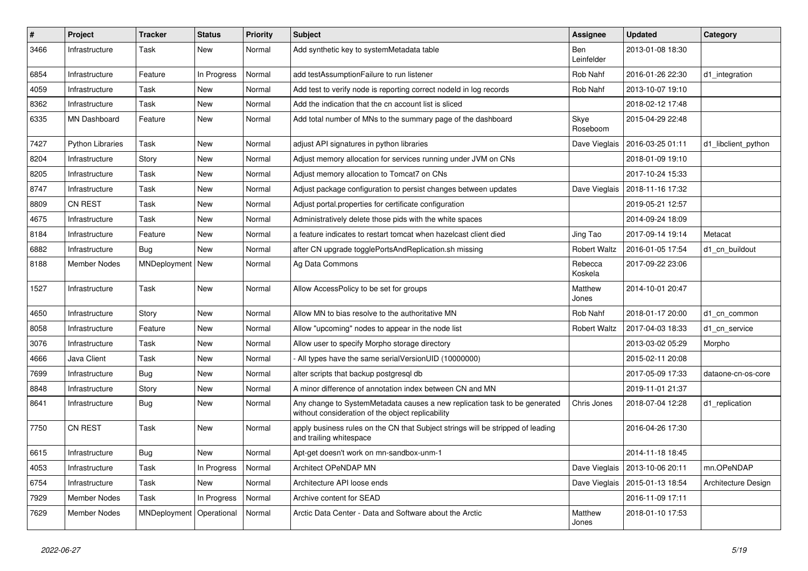| $\pmb{\#}$ | Project                 | <b>Tracker</b> | <b>Status</b> | <b>Priority</b> | <b>Subject</b>                                                                                                                  | <b>Assignee</b>     | <b>Updated</b>                   | Category            |
|------------|-------------------------|----------------|---------------|-----------------|---------------------------------------------------------------------------------------------------------------------------------|---------------------|----------------------------------|---------------------|
| 3466       | Infrastructure          | Task           | New           | Normal          | Add synthetic key to systemMetadata table                                                                                       | Ben<br>Leinfelder   | 2013-01-08 18:30                 |                     |
| 6854       | Infrastructure          | Feature        | In Progress   | Normal          | add testAssumptionFailure to run listener                                                                                       | Rob Nahf            | 2016-01-26 22:30                 | d1_integration      |
| 4059       | Infrastructure          | Task           | New           | Normal          | Add test to verify node is reporting correct nodeld in log records                                                              | Rob Nahf            | 2013-10-07 19:10                 |                     |
| 8362       | Infrastructure          | Task           | New           | Normal          | Add the indication that the cn account list is sliced                                                                           |                     | 2018-02-12 17:48                 |                     |
| 6335       | <b>MN Dashboard</b>     | Feature        | New           | Normal          | Add total number of MNs to the summary page of the dashboard                                                                    | Skye<br>Roseboom    | 2015-04-29 22:48                 |                     |
| 7427       | <b>Python Libraries</b> | Task           | New           | Normal          | adjust API signatures in python libraries                                                                                       | Dave Vieglais       | 2016-03-25 01:11                 | d1 libclient python |
| 8204       | Infrastructure          | Story          | New           | Normal          | Adjust memory allocation for services running under JVM on CNs                                                                  |                     | 2018-01-09 19:10                 |                     |
| 8205       | Infrastructure          | Task           | <b>New</b>    | Normal          | Adjust memory allocation to Tomcat7 on CNs                                                                                      |                     | 2017-10-24 15:33                 |                     |
| 8747       | Infrastructure          | Task           | New           | Normal          | Adjust package configuration to persist changes between updates                                                                 | Dave Vieglais       | 2018-11-16 17:32                 |                     |
| 8809       | <b>CN REST</b>          | Task           | <b>New</b>    | Normal          | Adjust portal properties for certificate configuration                                                                          |                     | 2019-05-21 12:57                 |                     |
| 4675       | Infrastructure          | Task           | New           | Normal          | Administratively delete those pids with the white spaces                                                                        |                     | 2014-09-24 18:09                 |                     |
| 8184       | Infrastructure          | Feature        | New           | Normal          | a feature indicates to restart tomcat when hazelcast client died                                                                | Jing Tao            | 2017-09-14 19:14                 | Metacat             |
| 6882       | Infrastructure          | Bug            | <b>New</b>    | Normal          | after CN upgrade togglePortsAndReplication.sh missing                                                                           | <b>Robert Waltz</b> | 2016-01-05 17:54                 | d1 cn buildout      |
| 8188       | Member Nodes            | MNDeployment   | New           | Normal          | Ag Data Commons                                                                                                                 | Rebecca<br>Koskela  | 2017-09-22 23:06                 |                     |
| 1527       | Infrastructure          | Task           | New           | Normal          | Allow AccessPolicy to be set for groups                                                                                         | Matthew<br>Jones    | 2014-10-01 20:47                 |                     |
| 4650       | Infrastructure          | Story          | <b>New</b>    | Normal          | Allow MN to bias resolve to the authoritative MN                                                                                | Rob Nahf            | 2018-01-17 20:00                 | d1 cn common        |
| 8058       | Infrastructure          | Feature        | New           | Normal          | Allow "upcoming" nodes to appear in the node list                                                                               | <b>Robert Waltz</b> | 2017-04-03 18:33                 | d1 cn service       |
| 3076       | Infrastructure          | Task           | New           | Normal          | Allow user to specify Morpho storage directory                                                                                  |                     | 2013-03-02 05:29                 | Morpho              |
| 4666       | Java Client             | Task           | <b>New</b>    | Normal          | All types have the same serialVersionUID (10000000)                                                                             |                     | 2015-02-11 20:08                 |                     |
| 7699       | Infrastructure          | Bug            | New           | Normal          | alter scripts that backup postgresgl db                                                                                         |                     | 2017-05-09 17:33                 | dataone-cn-os-core  |
| 8848       | Infrastructure          | Story          | New           | Normal          | A minor difference of annotation index between CN and MN                                                                        |                     | 2019-11-01 21:37                 |                     |
| 8641       | Infrastructure          | Bug            | New           | Normal          | Any change to SystemMetadata causes a new replication task to be generated<br>without consideration of the object replicability | Chris Jones         | 2018-07-04 12:28                 | d1_replication      |
| 7750       | <b>CN REST</b>          | Task           | New           | Normal          | apply business rules on the CN that Subject strings will be stripped of leading<br>and trailing whitespace                      |                     | 2016-04-26 17:30                 |                     |
| 6615       | Infrastructure          | Bug            | <b>New</b>    | Normal          | Apt-get doesn't work on mn-sandbox-unm-1                                                                                        |                     | 2014-11-18 18:45                 |                     |
| 4053       | Infrastructure          | Task           | In Progress   | Normal          | Architect OPeNDAP MN                                                                                                            |                     | Dave Vieglais   2013-10-06 20:11 | mn.OPeNDAP          |
| 6754       | Infrastructure          | Task           | New           | Normal          | Architecture API loose ends                                                                                                     | Dave Vieglais       | 2015-01-13 18:54                 | Architecture Design |
| 7929       | <b>Member Nodes</b>     | Task           | In Progress   | Normal          | Archive content for SEAD                                                                                                        |                     | 2016-11-09 17:11                 |                     |
| 7629       | Member Nodes            | MNDeployment   | Operational   | Normal          | Arctic Data Center - Data and Software about the Arctic                                                                         | Matthew<br>Jones    | 2018-01-10 17:53                 |                     |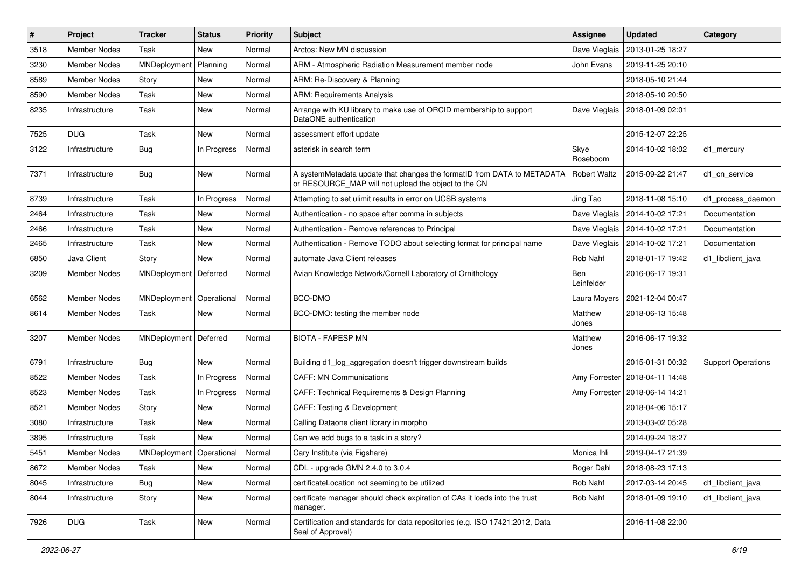| $\#$ | Project             | <b>Tracker</b>           | <b>Status</b> | <b>Priority</b> | Subject                                                                                                                                        | <b>Assignee</b>   | <b>Updated</b>   | Category                  |
|------|---------------------|--------------------------|---------------|-----------------|------------------------------------------------------------------------------------------------------------------------------------------------|-------------------|------------------|---------------------------|
| 3518 | Member Nodes        | Task                     | New           | Normal          | Arctos: New MN discussion                                                                                                                      | Dave Vieglais     | 2013-01-25 18:27 |                           |
| 3230 | <b>Member Nodes</b> | MNDeployment             | Planning      | Normal          | ARM - Atmospheric Radiation Measurement member node                                                                                            | John Evans        | 2019-11-25 20:10 |                           |
| 8589 | Member Nodes        | Story                    | New           | Normal          | ARM: Re-Discovery & Planning                                                                                                                   |                   | 2018-05-10 21:44 |                           |
| 8590 | <b>Member Nodes</b> | Task                     | New           | Normal          | <b>ARM: Requirements Analysis</b>                                                                                                              |                   | 2018-05-10 20:50 |                           |
| 8235 | Infrastructure      | Task                     | New           | Normal          | Arrange with KU library to make use of ORCID membership to support<br>DataONE authentication                                                   | Dave Vieglais     | 2018-01-09 02:01 |                           |
| 7525 | <b>DUG</b>          | Task                     | New           | Normal          | assessment effort update                                                                                                                       |                   | 2015-12-07 22:25 |                           |
| 3122 | Infrastructure      | <b>Bug</b>               | In Progress   | Normal          | asterisk in search term                                                                                                                        | Skye<br>Roseboom  | 2014-10-02 18:02 | d1 mercury                |
| 7371 | Infrastructure      | Bug                      | New           | Normal          | A systemMetadata update that changes the formatID from DATA to METADATA   Robert Waltz<br>or RESOURCE_MAP will not upload the object to the CN |                   | 2015-09-22 21:47 | d1 cn service             |
| 8739 | Infrastructure      | Task                     | In Progress   | Normal          | Attempting to set ulimit results in error on UCSB systems                                                                                      | Jing Tao          | 2018-11-08 15:10 | d1_process_daemon         |
| 2464 | Infrastructure      | Task                     | <b>New</b>    | Normal          | Authentication - no space after comma in subjects                                                                                              | Dave Vieglais     | 2014-10-02 17:21 | Documentation             |
| 2466 | Infrastructure      | Task                     | New           | Normal          | Authentication - Remove references to Principal                                                                                                | Dave Vieglais     | 2014-10-02 17:21 | Documentation             |
| 2465 | Infrastructure      | Task                     | New           | Normal          | Authentication - Remove TODO about selecting format for principal name                                                                         | Dave Vieglais     | 2014-10-02 17:21 | Documentation             |
| 6850 | Java Client         | Story                    | New           | Normal          | automate Java Client releases                                                                                                                  | Rob Nahf          | 2018-01-17 19:42 | d1 libclient java         |
| 3209 | Member Nodes        | MNDeployment             | Deferred      | Normal          | Avian Knowledge Network/Cornell Laboratory of Ornithology                                                                                      | Ben<br>Leinfelder | 2016-06-17 19:31 |                           |
| 6562 | <b>Member Nodes</b> | MNDeployment             | Operational   | Normal          | BCO-DMO                                                                                                                                        | Laura Moyers      | 2021-12-04 00:47 |                           |
| 8614 | Member Nodes        | Task                     | New           | Normal          | BCO-DMO: testing the member node                                                                                                               | Matthew<br>Jones  | 2018-06-13 15:48 |                           |
| 3207 | <b>Member Nodes</b> | MNDeployment             | Deferred      | Normal          | <b>BIOTA - FAPESP MN</b>                                                                                                                       | Matthew<br>Jones  | 2016-06-17 19:32 |                           |
| 6791 | Infrastructure      | Bug                      | New           | Normal          | Building d1_log_aggregation doesn't trigger downstream builds                                                                                  |                   | 2015-01-31 00:32 | <b>Support Operations</b> |
| 8522 | Member Nodes        | Task                     | In Progress   | Normal          | <b>CAFF: MN Communications</b>                                                                                                                 | Amy Forrester     | 2018-04-11 14:48 |                           |
| 8523 | Member Nodes        | Task                     | In Progress   | Normal          | CAFF: Technical Requirements & Design Planning                                                                                                 | Amy Forrester     | 2018-06-14 14:21 |                           |
| 8521 | Member Nodes        | Story                    | New           | Normal          | CAFF: Testing & Development                                                                                                                    |                   | 2018-04-06 15:17 |                           |
| 3080 | Infrastructure      | Task                     | New           | Normal          | Calling Dataone client library in morpho                                                                                                       |                   | 2013-03-02 05:28 |                           |
| 3895 | Infrastructure      | Task                     | <b>New</b>    | Normal          | Can we add bugs to a task in a story?                                                                                                          |                   | 2014-09-24 18:27 |                           |
| 5451 | Member Nodes        | MNDeployment Operational |               | Normal          | Cary Institute (via Figshare)                                                                                                                  | Monica Ihli       | 2019-04-17 21:39 |                           |
| 8672 | Member Nodes        | Task                     | New           | Normal          | CDL - upgrade GMN 2.4.0 to 3.0.4                                                                                                               | Roger Dahl        | 2018-08-23 17:13 |                           |
| 8045 | Infrastructure      | <b>Bug</b>               | New           | Normal          | certificateLocation not seeming to be utilized                                                                                                 | Rob Nahf          | 2017-03-14 20:45 | d1_libclient_java         |
| 8044 | Infrastructure      | Story                    | New           | Normal          | certificate manager should check expiration of CAs it loads into the trust<br>manager.                                                         | Rob Nahf          | 2018-01-09 19:10 | d1_libclient_java         |
| 7926 | <b>DUG</b>          | Task                     | New           | Normal          | Certification and standards for data repositories (e.g. ISO 17421:2012, Data<br>Seal of Approval)                                              |                   | 2016-11-08 22:00 |                           |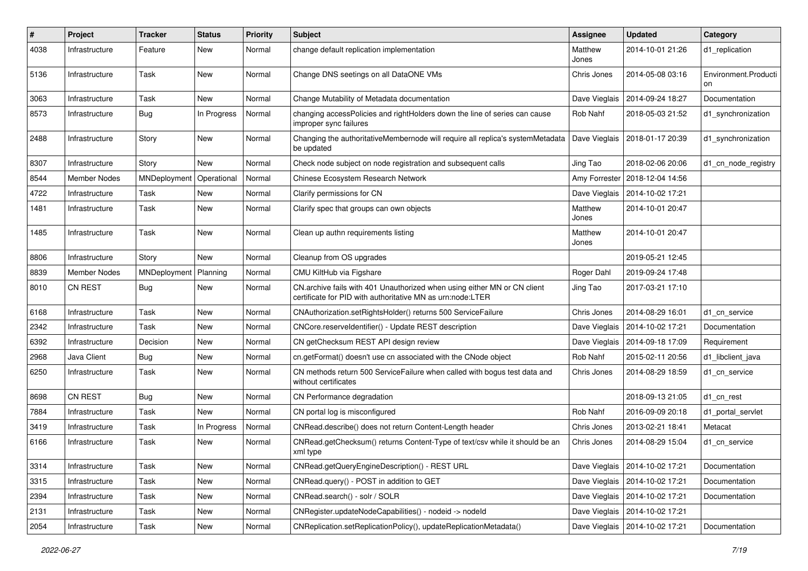| #    | Project             | <b>Tracker</b> | <b>Status</b> | <b>Priority</b> | Subject                                                                                                                                | <b>Assignee</b>  | <b>Updated</b>                   | Category                   |
|------|---------------------|----------------|---------------|-----------------|----------------------------------------------------------------------------------------------------------------------------------------|------------------|----------------------------------|----------------------------|
| 4038 | Infrastructure      | Feature        | <b>New</b>    | Normal          | change default replication implementation                                                                                              | Matthew<br>Jones | 2014-10-01 21:26                 | d1_replication             |
| 5136 | Infrastructure      | Task           | New           | Normal          | Change DNS seetings on all DataONE VMs                                                                                                 | Chris Jones      | 2014-05-08 03:16                 | Environment.Producti<br>on |
| 3063 | Infrastructure      | Task           | <b>New</b>    | Normal          | Change Mutability of Metadata documentation                                                                                            | Dave Vieglais    | 2014-09-24 18:27                 | Documentation              |
| 8573 | Infrastructure      | <b>Bug</b>     | In Progress   | Normal          | changing accessPolicies and rightHolders down the line of series can cause<br>improper sync failures                                   | Rob Nahf         | 2018-05-03 21:52                 | d1_synchronization         |
| 2488 | Infrastructure      | Story          | New           | Normal          | Changing the authoritativeMembernode will require all replica's systemMetadata<br>be updated                                           | Dave Vieglais    | 2018-01-17 20:39                 | d1_synchronization         |
| 8307 | Infrastructure      | Story          | <b>New</b>    | Normal          | Check node subject on node registration and subsequent calls                                                                           | Jing Tao         | 2018-02-06 20:06                 | d1 cn node registry        |
| 8544 | <b>Member Nodes</b> | MNDeployment   | Operational   | Normal          | Chinese Ecosystem Research Network                                                                                                     | Amy Forrester    | 2018-12-04 14:56                 |                            |
| 4722 | Infrastructure      | Task           | New           | Normal          | Clarify permissions for CN                                                                                                             | Dave Vieglais    | 2014-10-02 17:21                 |                            |
| 1481 | Infrastructure      | Task           | New           | Normal          | Clarify spec that groups can own objects                                                                                               | Matthew<br>Jones | 2014-10-01 20:47                 |                            |
| 1485 | Infrastructure      | Task           | New           | Normal          | Clean up authn requirements listing                                                                                                    | Matthew<br>Jones | 2014-10-01 20:47                 |                            |
| 8806 | Infrastructure      | Story          | New           | Normal          | Cleanup from OS upgrades                                                                                                               |                  | 2019-05-21 12:45                 |                            |
| 8839 | <b>Member Nodes</b> | MNDeployment   | Planning      | Normal          | CMU KiltHub via Figshare                                                                                                               | Roger Dahl       | 2019-09-24 17:48                 |                            |
| 8010 | <b>CN REST</b>      | Bug            | New           | Normal          | CN.archive fails with 401 Unauthorized when using either MN or CN client<br>certificate for PID with authoritative MN as urn:node:LTER | Jing Tao         | 2017-03-21 17:10                 |                            |
| 6168 | Infrastructure      | Task           | New           | Normal          | CNAuthorization.setRightsHolder() returns 500 ServiceFailure                                                                           | Chris Jones      | 2014-08-29 16:01                 | d1 cn service              |
| 2342 | Infrastructure      | Task           | New           | Normal          | CNCore.reserveldentifier() - Update REST description                                                                                   | Dave Vieglais    | 2014-10-02 17:21                 | Documentation              |
| 6392 | Infrastructure      | Decision       | New           | Normal          | CN getChecksum REST API design review                                                                                                  | Dave Vieglais    | 2014-09-18 17:09                 | Requirement                |
| 2968 | Java Client         | <b>Bug</b>     | New           | Normal          | cn.getFormat() doesn't use cn associated with the CNode object                                                                         | Rob Nahf         | 2015-02-11 20:56                 | d1 libclient java          |
| 6250 | Infrastructure      | Task           | New           | Normal          | CN methods return 500 Service Failure when called with bogus test data and<br>without certificates                                     | Chris Jones      | 2014-08-29 18:59                 | d1_cn_service              |
| 8698 | <b>CN REST</b>      | <b>Bug</b>     | New           | Normal          | CN Performance degradation                                                                                                             |                  | 2018-09-13 21:05                 | d1 cn rest                 |
| 7884 | Infrastructure      | Task           | New           | Normal          | CN portal log is misconfigured                                                                                                         | Rob Nahf         | 2016-09-09 20:18                 | d1 portal servlet          |
| 3419 | Infrastructure      | Task           | In Progress   | Normal          | CNRead.describe() does not return Content-Length header                                                                                | Chris Jones      | 2013-02-21 18:41                 | Metacat                    |
| 6166 | Infrastructure      | Task           | New           | Normal          | CNRead.getChecksum() returns Content-Type of text/csv while it should be an<br>xml type                                                | Chris Jones      | 2014-08-29 15:04                 | d1_cn_service              |
| 3314 | Infrastructure      | Task           | New           | Normal          | CNRead.getQueryEngineDescription() - REST URL                                                                                          |                  | Dave Vieglais   2014-10-02 17:21 | Documentation              |
| 3315 | Infrastructure      | Task           | New           | Normal          | CNRead.query() - POST in addition to GET                                                                                               |                  | Dave Vieglais   2014-10-02 17:21 | Documentation              |
| 2394 | Infrastructure      | Task           | New           | Normal          | CNRead.search() - solr / SOLR                                                                                                          |                  | Dave Vieglais   2014-10-02 17:21 | Documentation              |
| 2131 | Infrastructure      | Task           | New           | Normal          | CNRegister.updateNodeCapabilities() - nodeid -> nodeld                                                                                 |                  | Dave Vieglais   2014-10-02 17:21 |                            |
| 2054 | Infrastructure      | Task           | New           | Normal          | CNReplication.setReplicationPolicy(), updateReplicationMetadata()                                                                      | Dave Vieglais    | 2014-10-02 17:21                 | Documentation              |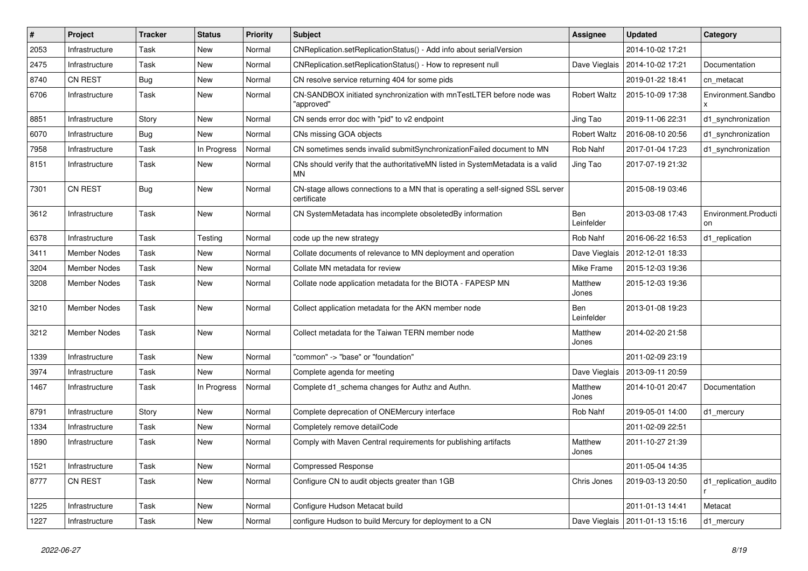| #    | Project             | <b>Tracker</b> | <b>Status</b> | <b>Priority</b> | Subject                                                                                       | <b>Assignee</b>     | <b>Updated</b>                   | Category                   |
|------|---------------------|----------------|---------------|-----------------|-----------------------------------------------------------------------------------------------|---------------------|----------------------------------|----------------------------|
| 2053 | Infrastructure      | Task           | New           | Normal          | CNReplication.setReplicationStatus() - Add info about serialVersion                           |                     | 2014-10-02 17:21                 |                            |
| 2475 | Infrastructure      | Task           | <b>New</b>    | Normal          | CNReplication.setReplicationStatus() - How to represent null                                  |                     | Dave Vieglais   2014-10-02 17:21 | Documentation              |
| 8740 | <b>CN REST</b>      | <b>Bug</b>     | New           | Normal          | CN resolve service returning 404 for some pids                                                |                     | 2019-01-22 18:41                 | cn_metacat                 |
| 6706 | Infrastructure      | Task           | New           | Normal          | CN-SANDBOX initiated synchronization with mnTestLTER before node was<br>'approved"            | <b>Robert Waltz</b> | 2015-10-09 17:38                 | Environment.Sandbo         |
| 8851 | Infrastructure      | Story          | New           | Normal          | CN sends error doc with "pid" to v2 endpoint                                                  | Jing Tao            | 2019-11-06 22:31                 | d1_synchronization         |
| 6070 | Infrastructure      | <b>Bug</b>     | New           | Normal          | CNs missing GOA objects                                                                       | <b>Robert Waltz</b> | 2016-08-10 20:56                 | d1_synchronization         |
| 7958 | Infrastructure      | Task           | In Progress   | Normal          | CN sometimes sends invalid submitSynchronizationFailed document to MN                         | Rob Nahf            | 2017-01-04 17:23                 | d1_synchronization         |
| 8151 | Infrastructure      | Task           | New           | Normal          | CNs should verify that the authoritativeMN listed in SystemMetadata is a valid<br>MΝ          | Jing Tao            | 2017-07-19 21:32                 |                            |
| 7301 | <b>CN REST</b>      | Bug            | New           | Normal          | CN-stage allows connections to a MN that is operating a self-signed SSL server<br>certificate |                     | 2015-08-19 03:46                 |                            |
| 3612 | Infrastructure      | Task           | New           | Normal          | CN SystemMetadata has incomplete obsoletedBy information                                      | Ben<br>Leinfelder   | 2013-03-08 17:43                 | Environment.Producti<br>on |
| 6378 | Infrastructure      | Task           | Testing       | Normal          | code up the new strategy                                                                      | Rob Nahf            | 2016-06-22 16:53                 | d1_replication             |
| 3411 | <b>Member Nodes</b> | Task           | New           | Normal          | Collate documents of relevance to MN deployment and operation                                 | Dave Vieglais       | 2012-12-01 18:33                 |                            |
| 3204 | <b>Member Nodes</b> | Task           | New           | Normal          | Collate MN metadata for review                                                                | <b>Mike Frame</b>   | 2015-12-03 19:36                 |                            |
| 3208 | <b>Member Nodes</b> | Task           | New           | Normal          | Collate node application metadata for the BIOTA - FAPESP MN                                   | Matthew<br>Jones    | 2015-12-03 19:36                 |                            |
| 3210 | <b>Member Nodes</b> | Task           | New           | Normal          | Collect application metadata for the AKN member node                                          | Ben<br>Leinfelder   | 2013-01-08 19:23                 |                            |
| 3212 | <b>Member Nodes</b> | Task           | New           | Normal          | Collect metadata for the Taiwan TERN member node                                              | Matthew<br>Jones    | 2014-02-20 21:58                 |                            |
| 1339 | Infrastructure      | Task           | New           | Normal          | "common" -> "base" or "foundation"                                                            |                     | 2011-02-09 23:19                 |                            |
| 3974 | Infrastructure      | Task           | New           | Normal          | Complete agenda for meeting                                                                   | Dave Vieglais       | 2013-09-11 20:59                 |                            |
| 1467 | Infrastructure      | Task           | In Progress   | Normal          | Complete d1_schema changes for Authz and Authn.                                               | Matthew<br>Jones    | 2014-10-01 20:47                 | Documentation              |
| 8791 | Infrastructure      | Story          | New           | Normal          | Complete deprecation of ONEMercury interface                                                  | Rob Nahf            | 2019-05-01 14:00                 | d1_mercury                 |
| 1334 | Infrastructure      | Task           | <b>New</b>    | Normal          | Completely remove detailCode                                                                  |                     | 2011-02-09 22:51                 |                            |
| 1890 | Infrastructure      | Task           | New           | Normal          | Comply with Maven Central requirements for publishing artifacts                               | Matthew<br>Jones    | 2011-10-27 21:39                 |                            |
| 1521 | Infrastructure      | Task           | New           | Normal          | Compressed Response                                                                           |                     | 2011-05-04 14:35                 |                            |
| 8777 | CN REST             | Task           | New           | Normal          | Configure CN to audit objects greater than 1GB                                                | Chris Jones         | 2019-03-13 20:50                 | d1_replication_audito      |
| 1225 | Infrastructure      | Task           | New           | Normal          | Configure Hudson Metacat build                                                                |                     | 2011-01-13 14:41                 | Metacat                    |
| 1227 | Infrastructure      | Task           | New           | Normal          | configure Hudson to build Mercury for deployment to a CN                                      |                     | Dave Vieglais   2011-01-13 15:16 | d1_mercury                 |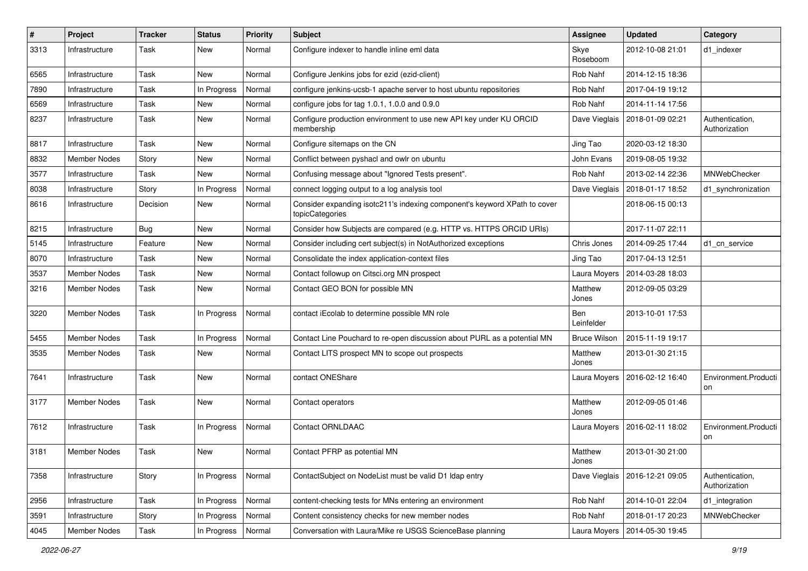| $\sharp$ | Project             | <b>Tracker</b> | <b>Status</b> | <b>Priority</b> | <b>Subject</b>                                                                               | Assignee            | <b>Updated</b>                  | Category                         |
|----------|---------------------|----------------|---------------|-----------------|----------------------------------------------------------------------------------------------|---------------------|---------------------------------|----------------------------------|
| 3313     | Infrastructure      | Task           | New           | Normal          | Configure indexer to handle inline eml data                                                  | Skye<br>Roseboom    | 2012-10-08 21:01                | d1_indexer                       |
| 6565     | Infrastructure      | Task           | New           | Normal          | Configure Jenkins jobs for ezid (ezid-client)                                                | Rob Nahf            | 2014-12-15 18:36                |                                  |
| 7890     | Infrastructure      | Task           | In Progress   | Normal          | configure jenkins-ucsb-1 apache server to host ubuntu repositories                           | Rob Nahf            | 2017-04-19 19:12                |                                  |
| 6569     | Infrastructure      | Task           | New           | Normal          | configure jobs for tag 1.0.1, 1.0.0 and 0.9.0                                                | Rob Nahf            | 2014-11-14 17:56                |                                  |
| 8237     | Infrastructure      | Task           | New           | Normal          | Configure production environment to use new API key under KU ORCID<br>membership             | Dave Vieglais       | 2018-01-09 02:21                | Authentication,<br>Authorization |
| 8817     | Infrastructure      | Task           | New           | Normal          | Configure sitemaps on the CN                                                                 | Jing Tao            | 2020-03-12 18:30                |                                  |
| 8832     | Member Nodes        | Story          | New           | Normal          | Conflict between pyshacl and owlr on ubuntu                                                  | John Evans          | 2019-08-05 19:32                |                                  |
| 3577     | Infrastructure      | Task           | New           | Normal          | Confusing message about "Ignored Tests present".                                             | Rob Nahf            | 2013-02-14 22:36                | MNWebChecker                     |
| 8038     | Infrastructure      | Story          | In Progress   | Normal          | connect logging output to a log analysis tool                                                | Dave Vieglais       | 2018-01-17 18:52                | d1 synchronization               |
| 8616     | Infrastructure      | Decision       | New           | Normal          | Consider expanding isotc211's indexing component's keyword XPath to cover<br>topicCategories |                     | 2018-06-15 00:13                |                                  |
| 8215     | Infrastructure      | Bug            | New           | Normal          | Consider how Subjects are compared (e.g. HTTP vs. HTTPS ORCID URIs)                          |                     | 2017-11-07 22:11                |                                  |
| 5145     | Infrastructure      | Feature        | New           | Normal          | Consider including cert subject(s) in NotAuthorized exceptions                               | Chris Jones         | 2014-09-25 17:44                | d1_cn_service                    |
| 8070     | Infrastructure      | Task           | New           | Normal          | Consolidate the index application-context files                                              | Jing Tao            | 2017-04-13 12:51                |                                  |
| 3537     | Member Nodes        | Task           | New           | Normal          | Contact followup on Citsci.org MN prospect                                                   |                     | Laura Moyers   2014-03-28 18:03 |                                  |
| 3216     | Member Nodes        | Task           | New           | Normal          | Contact GEO BON for possible MN                                                              | Matthew<br>Jones    | 2012-09-05 03:29                |                                  |
| 3220     | Member Nodes        | Task           | In Progress   | Normal          | contact iEcolab to determine possible MN role                                                | Ben<br>Leinfelder   | 2013-10-01 17:53                |                                  |
| 5455     | Member Nodes        | Task           | In Progress   | Normal          | Contact Line Pouchard to re-open discussion about PURL as a potential MN                     | <b>Bruce Wilson</b> | 2015-11-19 19:17                |                                  |
| 3535     | Member Nodes        | Task           | New           | Normal          | Contact LITS prospect MN to scope out prospects                                              | Matthew<br>Jones    | 2013-01-30 21:15                |                                  |
| 7641     | Infrastructure      | Task           | New           | Normal          | contact ONEShare                                                                             |                     | Laura Moyers   2016-02-12 16:40 | Environment.Producti<br>on       |
| 3177     | Member Nodes        | Task           | New           | Normal          | Contact operators                                                                            | Matthew<br>Jones    | 2012-09-05 01:46                |                                  |
| 7612     | Infrastructure      | Task           | In Progress   | Normal          | <b>Contact ORNLDAAC</b>                                                                      | Laura Moyers        | 2016-02-11 18:02                | Environment.Producti<br>on       |
| 3181     | <b>Member Nodes</b> | Task           | New           | Normal          | Contact PFRP as potential MN                                                                 | Matthew<br>Jones    | 2013-01-30 21:00                |                                  |
| 7358     | Infrastructure      | Story          | In Progress   | Normal          | ContactSubject on NodeList must be valid D1 Idap entry                                       | Dave Vieglais       | 2016-12-21 09:05                | Authentication,<br>Authorization |
| 2956     | Infrastructure      | Task           | In Progress   | Normal          | content-checking tests for MNs entering an environment                                       | Rob Nahf            | 2014-10-01 22:04                | d1_integration                   |
| 3591     | Infrastructure      | Story          | In Progress   | Normal          | Content consistency checks for new member nodes                                              | Rob Nahf            | 2018-01-17 20:23                | MNWebChecker                     |
| 4045     | Member Nodes        | Task           | In Progress   | Normal          | Conversation with Laura/Mike re USGS ScienceBase planning                                    | Laura Moyers        | 2014-05-30 19:45                |                                  |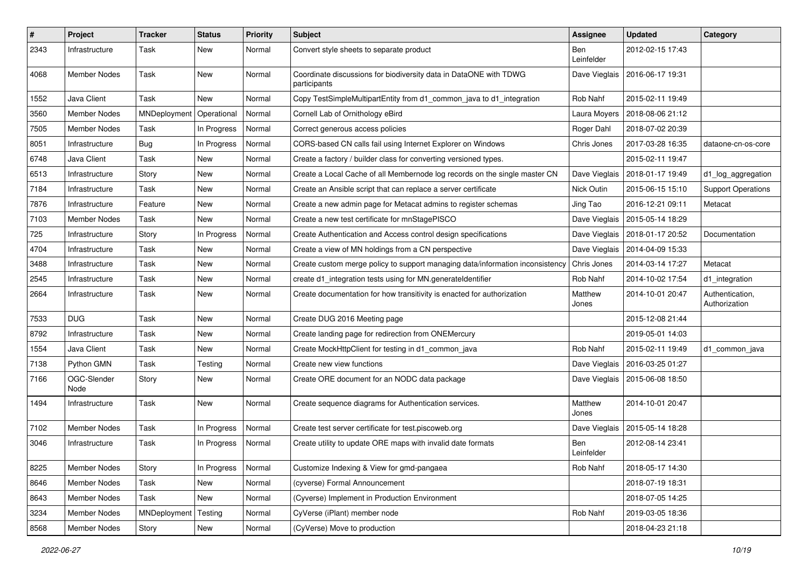| $\pmb{\#}$ | <b>Project</b>      | <b>Tracker</b> | <b>Status</b> | <b>Priority</b> | Subject                                                                           | <b>Assignee</b>   | <b>Updated</b>   | Category                         |
|------------|---------------------|----------------|---------------|-----------------|-----------------------------------------------------------------------------------|-------------------|------------------|----------------------------------|
| 2343       | Infrastructure      | Task           | New           | Normal          | Convert style sheets to separate product                                          | Ben<br>Leinfelder | 2012-02-15 17:43 |                                  |
| 4068       | Member Nodes        | Task           | New           | Normal          | Coordinate discussions for biodiversity data in DataONE with TDWG<br>participants | Dave Vieglais     | 2016-06-17 19:31 |                                  |
| 1552       | Java Client         | Task           | <b>New</b>    | Normal          | Copy TestSimpleMultipartEntity from d1_common_java to d1_integration              | Rob Nahf          | 2015-02-11 19:49 |                                  |
| 3560       | Member Nodes        | MNDeployment   | Operational   | Normal          | Cornell Lab of Ornithology eBird                                                  | Laura Moyers      | 2018-08-06 21:12 |                                  |
| 7505       | <b>Member Nodes</b> | Task           | In Progress   | Normal          | Correct generous access policies                                                  | Roger Dahl        | 2018-07-02 20:39 |                                  |
| 8051       | Infrastructure      | Bug            | In Progress   | Normal          | CORS-based CN calls fail using Internet Explorer on Windows                       | Chris Jones       | 2017-03-28 16:35 | dataone-cn-os-core               |
| 6748       | Java Client         | Task           | New           | Normal          | Create a factory / builder class for converting versioned types.                  |                   | 2015-02-11 19:47 |                                  |
| 6513       | Infrastructure      | Story          | <b>New</b>    | Normal          | Create a Local Cache of all Membernode log records on the single master CN        | Dave Vieglais     | 2018-01-17 19:49 | d1_log_aggregation               |
| 7184       | Infrastructure      | Task           | New           | Normal          | Create an Ansible script that can replace a server certificate                    | Nick Outin        | 2015-06-15 15:10 | <b>Support Operations</b>        |
| 7876       | Infrastructure      | Feature        | New           | Normal          | Create a new admin page for Metacat admins to register schemas                    | Jing Tao          | 2016-12-21 09:11 | Metacat                          |
| 7103       | Member Nodes        | Task           | New           | Normal          | Create a new test certificate for mnStagePISCO                                    | Dave Vieglais     | 2015-05-14 18:29 |                                  |
| 725        | Infrastructure      | Story          | In Progress   | Normal          | Create Authentication and Access control design specifications                    | Dave Vieglais     | 2018-01-17 20:52 | Documentation                    |
| 4704       | Infrastructure      | Task           | <b>New</b>    | Normal          | Create a view of MN holdings from a CN perspective                                | Dave Vieglais     | 2014-04-09 15:33 |                                  |
| 3488       | Infrastructure      | Task           | New           | Normal          | Create custom merge policy to support managing data/information inconsistency     | Chris Jones       | 2014-03-14 17:27 | Metacat                          |
| 2545       | Infrastructure      | Task           | New           | Normal          | create d1_integration tests using for MN.generateIdentifier                       | Rob Nahf          | 2014-10-02 17:54 | d1_integration                   |
| 2664       | Infrastructure      | Task           | New           | Normal          | Create documentation for how transitivity is enacted for authorization            | Matthew<br>Jones  | 2014-10-01 20:47 | Authentication,<br>Authorization |
| 7533       | <b>DUG</b>          | Task           | New           | Normal          | Create DUG 2016 Meeting page                                                      |                   | 2015-12-08 21:44 |                                  |
| 8792       | Infrastructure      | Task           | New           | Normal          | Create landing page for redirection from ONEMercury                               |                   | 2019-05-01 14:03 |                                  |
| 1554       | Java Client         | Task           | New           | Normal          | Create MockHttpClient for testing in d1_common_java                               | Rob Nahf          | 2015-02-11 19:49 | d1_common_java                   |
| 7138       | Python GMN          | Task           | Testing       | Normal          | Create new view functions                                                         | Dave Vieglais     | 2016-03-25 01:27 |                                  |
| 7166       | OGC-Slender<br>Node | Story          | New           | Normal          | Create ORE document for an NODC data package                                      | Dave Vieglais     | 2015-06-08 18:50 |                                  |
| 1494       | Infrastructure      | Task           | <b>New</b>    | Normal          | Create sequence diagrams for Authentication services.                             | Matthew<br>Jones  | 2014-10-01 20:47 |                                  |
| 7102       | <b>Member Nodes</b> | Task           | In Progress   | Normal          | Create test server certificate for test.piscoweb.org                              | Dave Vieglais     | 2015-05-14 18:28 |                                  |
| 3046       | Infrastructure      | Task           | In Progress   | Normal          | Create utility to update ORE maps with invalid date formats                       | Ben<br>Leinfelder | 2012-08-14 23:41 |                                  |
| 8225       | Member Nodes        | Story          | In Progress   | Normal          | Customize Indexing & View for gmd-pangaea                                         | Rob Nahf          | 2018-05-17 14:30 |                                  |
| 8646       | Member Nodes        | Task           | New           | Normal          | (cyverse) Formal Announcement                                                     |                   | 2018-07-19 18:31 |                                  |
| 8643       | Member Nodes        | Task           | New           | Normal          | (Cyverse) Implement in Production Environment                                     |                   | 2018-07-05 14:25 |                                  |
| 3234       | Member Nodes        | MNDeployment   | Testing       | Normal          | CyVerse (iPlant) member node                                                      | Rob Nahf          | 2019-03-05 18:36 |                                  |
| 8568       | Member Nodes        | Story          | New           | Normal          | (CyVerse) Move to production                                                      |                   | 2018-04-23 21:18 |                                  |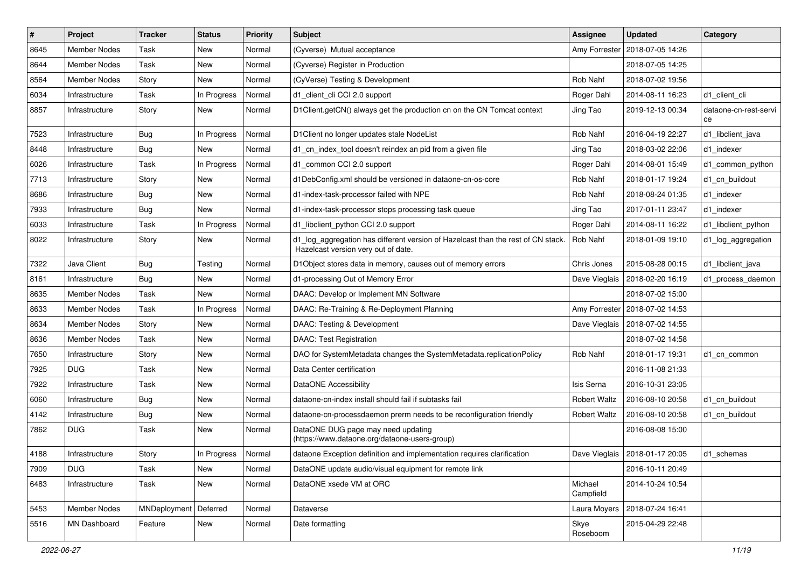| $\sharp$ | Project             | <b>Tracker</b>          | <b>Status</b> | <b>Priority</b> | Subject                                                                                                                 | <b>Assignee</b>      | <b>Updated</b>                   | Category                    |
|----------|---------------------|-------------------------|---------------|-----------------|-------------------------------------------------------------------------------------------------------------------------|----------------------|----------------------------------|-----------------------------|
| 8645     | <b>Member Nodes</b> | Task                    | New           | Normal          | (Cyverse) Mutual acceptance                                                                                             | Amy Forrester        | 2018-07-05 14:26                 |                             |
| 8644     | <b>Member Nodes</b> | Task                    | New           | Normal          | (Cyverse) Register in Production                                                                                        |                      | 2018-07-05 14:25                 |                             |
| 8564     | <b>Member Nodes</b> | Story                   | New           | Normal          | (CyVerse) Testing & Development                                                                                         | Rob Nahf             | 2018-07-02 19:56                 |                             |
| 6034     | Infrastructure      | Task                    | In Progress   | Normal          | d1_client_cli CCI 2.0 support                                                                                           | Roger Dahl           | 2014-08-11 16:23                 | d1 client cli               |
| 8857     | Infrastructure      | Story                   | New           | Normal          | D1Client.getCN() always get the production cn on the CN Tomcat context                                                  | Jing Tao             | 2019-12-13 00:34                 | dataone-cn-rest-servi<br>ce |
| 7523     | Infrastructure      | <b>Bug</b>              | In Progress   | Normal          | D1Client no longer updates stale NodeList                                                                               | Rob Nahf             | 2016-04-19 22:27                 | d1_libclient_java           |
| 8448     | Infrastructure      | <b>Bug</b>              | New           | Normal          | d1_cn_index_tool doesn't reindex an pid from a given file                                                               | Jing Tao             | 2018-03-02 22:06                 | d1 indexer                  |
| 6026     | Infrastructure      | Task                    | In Progress   | Normal          | d1_common CCI 2.0 support                                                                                               | Roger Dahl           | 2014-08-01 15:49                 | d1 common python            |
| 7713     | Infrastructure      | Story                   | <b>New</b>    | Normal          | d1DebConfig.xml should be versioned in dataone-cn-os-core                                                               | Rob Nahf             | 2018-01-17 19:24                 | d1 cn buildout              |
| 8686     | Infrastructure      | Bug                     | New           | Normal          | d1-index-task-processor failed with NPE                                                                                 | Rob Nahf             | 2018-08-24 01:35                 | d1 indexer                  |
| 7933     | Infrastructure      | <b>Bug</b>              | New           | Normal          | d1-index-task-processor stops processing task queue                                                                     | Jing Tao             | 2017-01-11 23:47                 | d1 indexer                  |
| 6033     | Infrastructure      | Task                    | In Progress   | Normal          | d1_libclient_python CCI 2.0 support                                                                                     | Roger Dahl           | 2014-08-11 16:22                 | d1 libclient python         |
| 8022     | Infrastructure      | Story                   | New           | Normal          | d1_log_aggregation has different version of Hazelcast than the rest of CN stack.<br>Hazelcast version very out of date. | Rob Nahf             | 2018-01-09 19:10                 | d1_log_aggregation          |
| 7322     | Java Client         | <b>Bug</b>              | Testing       | Normal          | D1Object stores data in memory, causes out of memory errors                                                             | Chris Jones          | 2015-08-28 00:15                 | d1 libclient java           |
| 8161     | Infrastructure      | <b>Bug</b>              | <b>New</b>    | Normal          | d1-processing Out of Memory Error                                                                                       | Dave Vieglais        | 2018-02-20 16:19                 | d1 process daemon           |
| 8635     | <b>Member Nodes</b> | Task                    | <b>New</b>    | Normal          | DAAC: Develop or Implement MN Software                                                                                  |                      | 2018-07-02 15:00                 |                             |
| 8633     | Member Nodes        | Task                    | In Progress   | Normal          | DAAC: Re-Training & Re-Deployment Planning                                                                              | Amy Forrester        | 2018-07-02 14:53                 |                             |
| 8634     | <b>Member Nodes</b> | Story                   | New           | Normal          | DAAC: Testing & Development                                                                                             | Dave Vieglais        | 2018-07-02 14:55                 |                             |
| 8636     | <b>Member Nodes</b> | Task                    | New           | Normal          | <b>DAAC: Test Registration</b>                                                                                          |                      | 2018-07-02 14:58                 |                             |
| 7650     | Infrastructure      | Story                   | New           | Normal          | DAO for SystemMetadata changes the SystemMetadata.replicationPolicy                                                     | Rob Nahf             | 2018-01-17 19:31                 | d1 cn common                |
| 7925     | <b>DUG</b>          | Task                    | New           | Normal          | Data Center certification                                                                                               |                      | 2016-11-08 21:33                 |                             |
| 7922     | Infrastructure      | Task                    | New           | Normal          | DataONE Accessibility                                                                                                   | Isis Serna           | 2016-10-31 23:05                 |                             |
| 6060     | Infrastructure      | <b>Bug</b>              | New           | Normal          | dataone-cn-index install should fail if subtasks fail                                                                   | <b>Robert Waltz</b>  | 2016-08-10 20:58                 | d1_cn_buildout              |
| 4142     | Infrastructure      | <b>Bug</b>              | New           | Normal          | dataone-cn-processdaemon prerm needs to be reconfiguration friendly                                                     | <b>Robert Waltz</b>  | 2016-08-10 20:58                 | d1_cn_buildout              |
| 7862     | <b>DUG</b>          | Task                    | New           | Normal          | DataONE DUG page may need updating<br>(https://www.dataone.org/dataone-users-group)                                     |                      | 2016-08-08 15:00                 |                             |
| 4188     | Infrastructure      | Story                   | In Progress   | Normal          | dataone Exception definition and implementation requires clarification                                                  |                      | Dave Vieglais   2018-01-17 20:05 | $d1$ _schemas               |
| 7909     | <b>DUG</b>          | Task                    | New           | Normal          | DataONE update audio/visual equipment for remote link                                                                   |                      | 2016-10-11 20:49                 |                             |
| 6483     | Infrastructure      | Task                    | New           | Normal          | DataONE xsede VM at ORC                                                                                                 | Michael<br>Campfield | 2014-10-24 10:54                 |                             |
| 5453     | Member Nodes        | MNDeployment   Deferred |               | Normal          | Dataverse                                                                                                               | Laura Moyers         | 2018-07-24 16:41                 |                             |
| 5516     | MN Dashboard        | Feature                 | New           | Normal          | Date formatting                                                                                                         | Skye<br>Roseboom     | 2015-04-29 22:48                 |                             |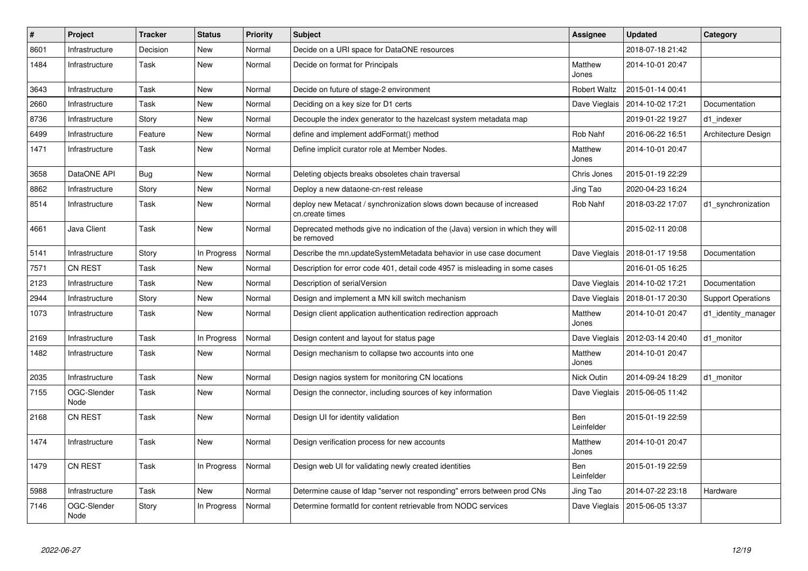| $\#$ | Project             | <b>Tracker</b> | <b>Status</b> | <b>Priority</b> | <b>Subject</b>                                                                               | <b>Assignee</b>     | <b>Updated</b>                   | Category                  |
|------|---------------------|----------------|---------------|-----------------|----------------------------------------------------------------------------------------------|---------------------|----------------------------------|---------------------------|
| 8601 | Infrastructure      | Decision       | <b>New</b>    | Normal          | Decide on a URI space for DataONE resources                                                  |                     | 2018-07-18 21:42                 |                           |
| 1484 | Infrastructure      | Task           | <b>New</b>    | Normal          | Decide on format for Principals                                                              | Matthew<br>Jones    | 2014-10-01 20:47                 |                           |
| 3643 | Infrastructure      | Task           | New           | Normal          | Decide on future of stage-2 environment                                                      | <b>Robert Waltz</b> | 2015-01-14 00:41                 |                           |
| 2660 | Infrastructure      | Task           | New           | Normal          | Deciding on a key size for D1 certs                                                          | Dave Vieglais       | 2014-10-02 17:21                 | Documentation             |
| 8736 | Infrastructure      | Story          | New           | Normal          | Decouple the index generator to the hazelcast system metadata map                            |                     | 2019-01-22 19:27                 | d1 indexer                |
| 6499 | Infrastructure      | Feature        | New           | Normal          | define and implement addFormat() method                                                      | Rob Nahf            | 2016-06-22 16:51                 | Architecture Design       |
| 1471 | Infrastructure      | Task           | New           | Normal          | Define implicit curator role at Member Nodes.                                                | Matthew<br>Jones    | 2014-10-01 20:47                 |                           |
| 3658 | DataONE API         | Bug            | New           | Normal          | Deleting objects breaks obsoletes chain traversal                                            | Chris Jones         | 2015-01-19 22:29                 |                           |
| 8862 | Infrastructure      | Story          | New           | Normal          | Deploy a new dataone-cn-rest release                                                         | Jing Tao            | 2020-04-23 16:24                 |                           |
| 8514 | Infrastructure      | Task           | New           | Normal          | deploy new Metacat / synchronization slows down because of increased<br>cn.create times      | Rob Nahf            | 2018-03-22 17:07                 | d1_synchronization        |
| 4661 | Java Client         | Task           | New           | Normal          | Deprecated methods give no indication of the (Java) version in which they will<br>be removed |                     | 2015-02-11 20:08                 |                           |
| 5141 | Infrastructure      | Story          | In Progress   | Normal          | Describe the mn.updateSystemMetadata behavior in use case document                           | Dave Vieglais       | 2018-01-17 19:58                 | Documentation             |
| 7571 | <b>CN REST</b>      | Task           | New           | Normal          | Description for error code 401, detail code 4957 is misleading in some cases                 |                     | 2016-01-05 16:25                 |                           |
| 2123 | Infrastructure      | Task           | <b>New</b>    | Normal          | Description of serialVersion                                                                 |                     | Dave Vieglais   2014-10-02 17:21 | Documentation             |
| 2944 | Infrastructure      | Story          | New           | Normal          | Design and implement a MN kill switch mechanism                                              |                     | Dave Vieglais   2018-01-17 20:30 | <b>Support Operations</b> |
| 1073 | Infrastructure      | Task           | New           | Normal          | Design client application authentication redirection approach                                | Matthew<br>Jones    | 2014-10-01 20:47                 | d1 identity manager       |
| 2169 | Infrastructure      | Task           | In Progress   | Normal          | Design content and layout for status page                                                    | Dave Vieglais       | 2012-03-14 20:40                 | d1 monitor                |
| 1482 | Infrastructure      | Task           | New           | Normal          | Design mechanism to collapse two accounts into one                                           | Matthew<br>Jones    | 2014-10-01 20:47                 |                           |
| 2035 | Infrastructure      | Task           | <b>New</b>    | Normal          | Design nagios system for monitoring CN locations                                             | Nick Outin          | 2014-09-24 18:29                 | d1 monitor                |
| 7155 | OGC-Slender<br>Node | Task           | New           | Normal          | Design the connector, including sources of key information                                   |                     | Dave Vieglais   2015-06-05 11:42 |                           |
| 2168 | CN REST             | Task           | New           | Normal          | Design UI for identity validation                                                            | Ben<br>Leinfelder   | 2015-01-19 22:59                 |                           |
| 1474 | Infrastructure      | Task           | <b>New</b>    | Normal          | Design verification process for new accounts                                                 | Matthew<br>Jones    | 2014-10-01 20:47                 |                           |
| 1479 | CN REST             | Task           | In Progress   | Normal          | Design web UI for validating newly created identities                                        | Ben<br>Leinfelder   | 2015-01-19 22:59                 |                           |
| 5988 | Infrastructure      | Task           | New           | Normal          | Determine cause of Idap "server not responding" errors between prod CNs                      | Jing Tao            | 2014-07-22 23:18                 | Hardware                  |
| 7146 | OGC-Slender<br>Node | Story          | In Progress   | Normal          | Determine formatid for content retrievable from NODC services                                | Dave Vieglais       | 2015-06-05 13:37                 |                           |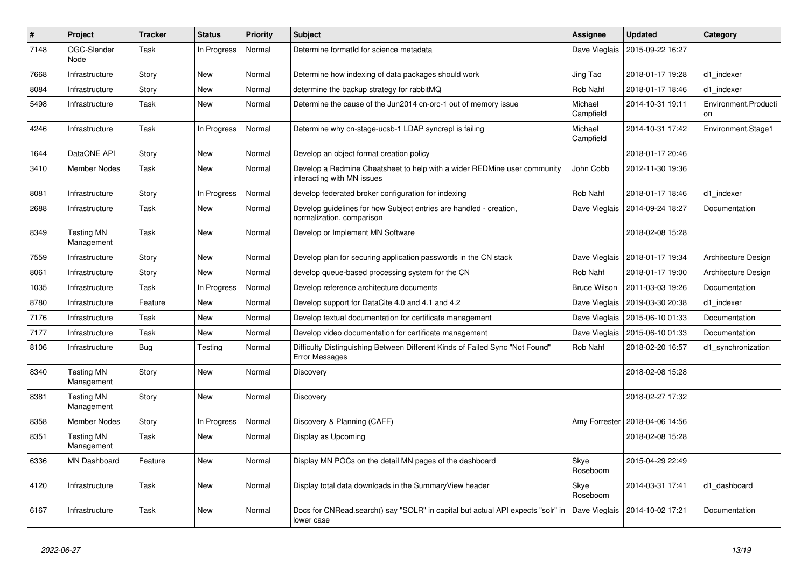| #    | Project                         | <b>Tracker</b> | <b>Status</b> | <b>Priority</b> | <b>Subject</b>                                                                                         | Assignee             | <b>Updated</b>   | Category                   |
|------|---------------------------------|----------------|---------------|-----------------|--------------------------------------------------------------------------------------------------------|----------------------|------------------|----------------------------|
| 7148 | OGC-Slender<br>Node             | Task           | In Progress   | Normal          | Determine formatid for science metadata                                                                | Dave Vieglais        | 2015-09-22 16:27 |                            |
| 7668 | Infrastructure                  | Story          | <b>New</b>    | Normal          | Determine how indexing of data packages should work                                                    | Jing Tao             | 2018-01-17 19:28 | d1 indexer                 |
| 8084 | Infrastructure                  | Story          | <b>New</b>    | Normal          | determine the backup strategy for rabbitMQ                                                             | Rob Nahf             | 2018-01-17 18:46 | d1 indexer                 |
| 5498 | Infrastructure                  | Task           | <b>New</b>    | Normal          | Determine the cause of the Jun2014 cn-orc-1 out of memory issue                                        | Michael<br>Campfield | 2014-10-31 19:11 | Environment.Producti<br>on |
| 4246 | Infrastructure                  | Task           | In Progress   | Normal          | Determine why cn-stage-ucsb-1 LDAP syncrepl is failing                                                 | Michael<br>Campfield | 2014-10-31 17:42 | Environment.Stage1         |
| 1644 | DataONE API                     | Story          | <b>New</b>    | Normal          | Develop an object format creation policy                                                               |                      | 2018-01-17 20:46 |                            |
| 3410 | <b>Member Nodes</b>             | Task           | New           | Normal          | Develop a Redmine Cheatsheet to help with a wider REDMine user community<br>interacting with MN issues | John Cobb            | 2012-11-30 19:36 |                            |
| 8081 | Infrastructure                  | Story          | In Progress   | Normal          | develop federated broker configuration for indexing                                                    | Rob Nahf             | 2018-01-17 18:46 | d1 indexer                 |
| 2688 | Infrastructure                  | Task           | <b>New</b>    | Normal          | Develop guidelines for how Subject entries are handled - creation,<br>normalization, comparison        | Dave Vieglais        | 2014-09-24 18:27 | Documentation              |
| 8349 | <b>Testing MN</b><br>Management | Task           | New           | Normal          | Develop or Implement MN Software                                                                       |                      | 2018-02-08 15:28 |                            |
| 7559 | Infrastructure                  | Story          | <b>New</b>    | Normal          | Develop plan for securing application passwords in the CN stack                                        | Dave Vieglais        | 2018-01-17 19:34 | Architecture Design        |
| 8061 | Infrastructure                  | Story          | <b>New</b>    | Normal          | develop queue-based processing system for the CN                                                       | Rob Nahf             | 2018-01-17 19:00 | Architecture Design        |
| 1035 | Infrastructure                  | Task           | In Progress   | Normal          | Develop reference architecture documents                                                               | <b>Bruce Wilson</b>  | 2011-03-03 19:26 | Documentation              |
| 8780 | Infrastructure                  | Feature        | New           | Normal          | Develop support for DataCite 4.0 and 4.1 and 4.2                                                       | Dave Vieglais        | 2019-03-30 20:38 | d1 indexer                 |
| 7176 | Infrastructure                  | Task           | <b>New</b>    | Normal          | Develop textual documentation for certificate management                                               | Dave Vieglais        | 2015-06-10 01:33 | Documentation              |
| 7177 | Infrastructure                  | Task           | New           | Normal          | Develop video documentation for certificate management                                                 | Dave Vieglais        | 2015-06-10 01:33 | Documentation              |
| 8106 | Infrastructure                  | Bug            | Testing       | Normal          | Difficulty Distinguishing Between Different Kinds of Failed Sync "Not Found"<br><b>Error Messages</b>  | Rob Nahf             | 2018-02-20 16:57 | d1 synchronization         |
| 8340 | <b>Testing MN</b><br>Management | Story          | New           | Normal          | Discovery                                                                                              |                      | 2018-02-08 15:28 |                            |
| 8381 | <b>Testing MN</b><br>Management | Story          | <b>New</b>    | Normal          | Discovery                                                                                              |                      | 2018-02-27 17:32 |                            |
| 8358 | <b>Member Nodes</b>             | Story          | In Progress   | Normal          | Discovery & Planning (CAFF)                                                                            | Amy Forrester        | 2018-04-06 14:56 |                            |
| 8351 | <b>Testing MN</b><br>Management | Task           | New           | Normal          | Display as Upcoming                                                                                    |                      | 2018-02-08 15:28 |                            |
| 6336 | <b>MN Dashboard</b>             | Feature        | <b>New</b>    | Normal          | Display MN POCs on the detail MN pages of the dashboard                                                | Skye<br>Roseboom     | 2015-04-29 22:49 |                            |
| 4120 | Infrastructure                  | Task           | <b>New</b>    | Normal          | Display total data downloads in the Summary View header                                                | Skye<br>Roseboom     | 2014-03-31 17:41 | d1 dashboard               |
| 6167 | Infrastructure                  | Task           | <b>New</b>    | Normal          | Docs for CNRead.search() say "SOLR" in capital but actual API expects "solr" in<br>lower case          | Dave Vieglais        | 2014-10-02 17:21 | Documentation              |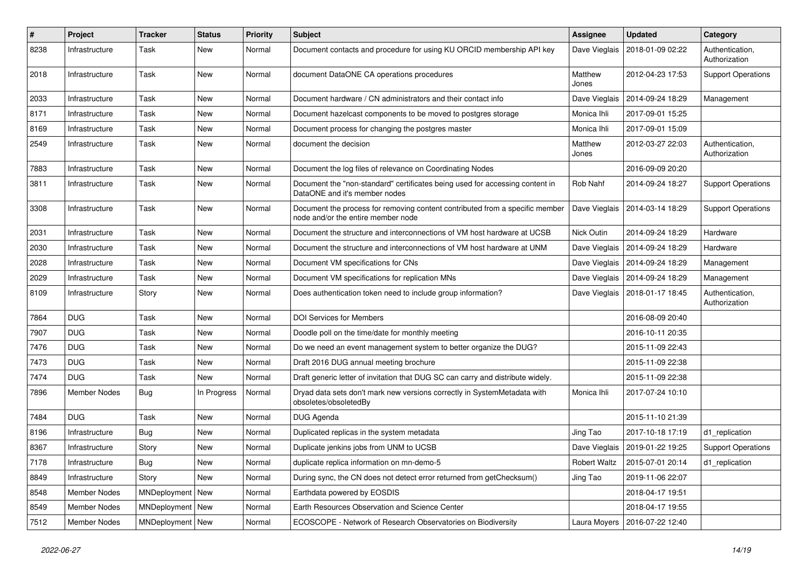| #    | Project             | <b>Tracker</b>   | <b>Status</b> | <b>Priority</b> | Subject                                                                                                            | <b>Assignee</b>     | <b>Updated</b>                   | Category                         |
|------|---------------------|------------------|---------------|-----------------|--------------------------------------------------------------------------------------------------------------------|---------------------|----------------------------------|----------------------------------|
| 8238 | Infrastructure      | Task             | <b>New</b>    | Normal          | Document contacts and procedure for using KU ORCID membership API key                                              | Dave Vieglais       | 2018-01-09 02:22                 | Authentication,<br>Authorization |
| 2018 | Infrastructure      | Task             | New           | Normal          | document DataONE CA operations procedures                                                                          | Matthew<br>Jones    | 2012-04-23 17:53                 | <b>Support Operations</b>        |
| 2033 | Infrastructure      | Task             | <b>New</b>    | Normal          | Document hardware / CN administrators and their contact info                                                       | Dave Vieglais       | 2014-09-24 18:29                 | Management                       |
| 8171 | Infrastructure      | Task             | <b>New</b>    | Normal          | Document hazelcast components to be moved to postgres storage                                                      | Monica Ihli         | 2017-09-01 15:25                 |                                  |
| 8169 | Infrastructure      | Task             | <b>New</b>    | Normal          | Document process for changing the postgres master                                                                  | Monica Ihli         | 2017-09-01 15:09                 |                                  |
| 2549 | Infrastructure      | Task             | <b>New</b>    | Normal          | document the decision                                                                                              | Matthew<br>Jones    | 2012-03-27 22:03                 | Authentication,<br>Authorization |
| 7883 | Infrastructure      | Task             | <b>New</b>    | Normal          | Document the log files of relevance on Coordinating Nodes                                                          |                     | 2016-09-09 20:20                 |                                  |
| 3811 | Infrastructure      | Task             | <b>New</b>    | Normal          | Document the "non-standard" certificates being used for accessing content in<br>DataONE and it's member nodes      | Rob Nahf            | 2014-09-24 18:27                 | <b>Support Operations</b>        |
| 3308 | Infrastructure      | Task             | <b>New</b>    | Normal          | Document the process for removing content contributed from a specific member<br>node and/or the entire member node | Dave Vieglais       | 2014-03-14 18:29                 | <b>Support Operations</b>        |
| 2031 | Infrastructure      | Task             | <b>New</b>    | Normal          | Document the structure and interconnections of VM host hardware at UCSB                                            | Nick Outin          | 2014-09-24 18:29                 | Hardware                         |
| 2030 | Infrastructure      | Task             | <b>New</b>    | Normal          | Document the structure and interconnections of VM host hardware at UNM                                             | Dave Vieglais       | 2014-09-24 18:29                 | Hardware                         |
| 2028 | Infrastructure      | Task             | <b>New</b>    | Normal          | Document VM specifications for CNs                                                                                 |                     | Dave Vieglais   2014-09-24 18:29 | Management                       |
| 2029 | Infrastructure      | Task             | <b>New</b>    | Normal          | Document VM specifications for replication MNs                                                                     | Dave Vieglais       | 2014-09-24 18:29                 | Management                       |
| 8109 | Infrastructure      | Story            | <b>New</b>    | Normal          | Does authentication token need to include group information?                                                       | Dave Vieglais       | 2018-01-17 18:45                 | Authentication,<br>Authorization |
| 7864 | <b>DUG</b>          | Task             | <b>New</b>    | Normal          | <b>DOI Services for Members</b>                                                                                    |                     | 2016-08-09 20:40                 |                                  |
| 7907 | <b>DUG</b>          | Task             | <b>New</b>    | Normal          | Doodle poll on the time/date for monthly meeting                                                                   |                     | 2016-10-11 20:35                 |                                  |
| 7476 | <b>DUG</b>          | Task             | <b>New</b>    | Normal          | Do we need an event management system to better organize the DUG?                                                  |                     | 2015-11-09 22:43                 |                                  |
| 7473 | <b>DUG</b>          | Task             | <b>New</b>    | Normal          | Draft 2016 DUG annual meeting brochure                                                                             |                     | 2015-11-09 22:38                 |                                  |
| 7474 | <b>DUG</b>          | Task             | <b>New</b>    | Normal          | Draft generic letter of invitation that DUG SC can carry and distribute widely.                                    |                     | 2015-11-09 22:38                 |                                  |
| 7896 | <b>Member Nodes</b> | Bug              | In Progress   | Normal          | Dryad data sets don't mark new versions correctly in SystemMetadata with<br>obsoletes/obsoletedBy                  | Monica Ihli         | 2017-07-24 10:10                 |                                  |
| 7484 | <b>DUG</b>          | Task             | <b>New</b>    | Normal          | DUG Agenda                                                                                                         |                     | 2015-11-10 21:39                 |                                  |
| 8196 | Infrastructure      | Bug              | <b>New</b>    | Normal          | Duplicated replicas in the system metadata                                                                         | Jing Tao            | 2017-10-18 17:19                 | d1 replication                   |
| 8367 | Infrastructure      | Story            | New           | Normal          | Duplicate jenkins jobs from UNM to UCSB                                                                            |                     | Dave Vieglais   2019-01-22 19:25 | <b>Support Operations</b>        |
| 7178 | Infrastructure      | <b>Bug</b>       | New           | Normal          | duplicate replica information on mn-demo-5                                                                         | <b>Robert Waltz</b> | 2015-07-01 20:14                 | d1_replication                   |
| 8849 | Infrastructure      | Story            | New           | Normal          | During sync, the CN does not detect error returned from getChecksum()                                              | Jing Tao            | 2019-11-06 22:07                 |                                  |
| 8548 | Member Nodes        | MNDeployment New |               | Normal          | Earthdata powered by EOSDIS                                                                                        |                     | 2018-04-17 19:51                 |                                  |
| 8549 | Member Nodes        | MNDeployment New |               | Normal          | Earth Resources Observation and Science Center                                                                     |                     | 2018-04-17 19:55                 |                                  |
| 7512 | <b>Member Nodes</b> | MNDeployment New |               | Normal          | ECOSCOPE - Network of Research Observatories on Biodiversity                                                       |                     | Laura Moyers   2016-07-22 12:40  |                                  |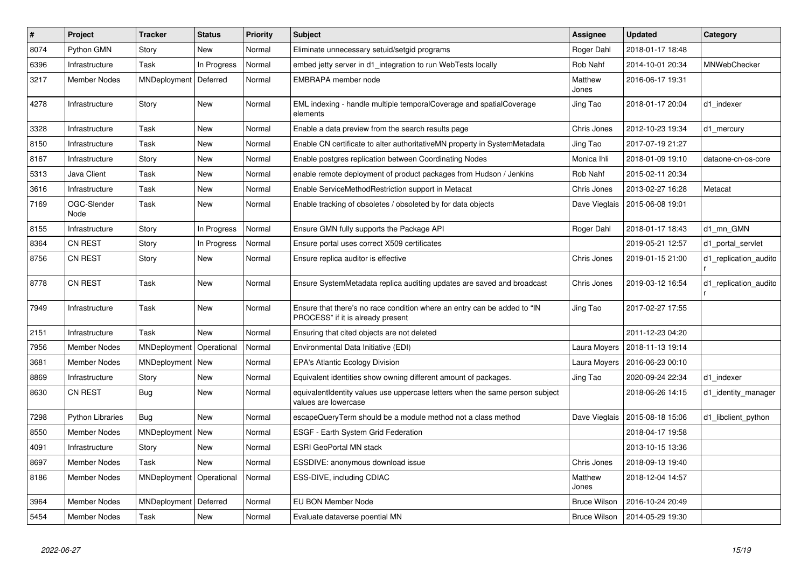| $\vert$ # | <b>Project</b>          | <b>Tracker</b> | <b>Status</b> | <b>Priority</b> | <b>Subject</b>                                                                                                | <b>Assignee</b>     | <b>Updated</b>                   | Category              |
|-----------|-------------------------|----------------|---------------|-----------------|---------------------------------------------------------------------------------------------------------------|---------------------|----------------------------------|-----------------------|
| 8074      | Python GMN              | Story          | <b>New</b>    | Normal          | Eliminate unnecessary setuid/setgid programs                                                                  | Roger Dahl          | 2018-01-17 18:48                 |                       |
| 6396      | Infrastructure          | Task           | In Progress   | Normal          | embed jetty server in d1_integration to run WebTests locally                                                  | Rob Nahf            | 2014-10-01 20:34                 | <b>MNWebChecker</b>   |
| 3217      | <b>Member Nodes</b>     | MNDeployment   | Deferred      | Normal          | EMBRAPA member node                                                                                           | Matthew<br>Jones    | 2016-06-17 19:31                 |                       |
| 4278      | Infrastructure          | Story          | New           | Normal          | EML indexing - handle multiple temporalCoverage and spatialCoverage<br>elements                               | Jing Tao            | 2018-01-17 20:04                 | d1 indexer            |
| 3328      | Infrastructure          | Task           | <b>New</b>    | Normal          | Enable a data preview from the search results page                                                            | Chris Jones         | 2012-10-23 19:34                 | d1_mercury            |
| 8150      | Infrastructure          | Task           | <b>New</b>    | Normal          | Enable CN certificate to alter authoritativeMN property in SystemMetadata                                     | Jing Tao            | 2017-07-19 21:27                 |                       |
| 8167      | Infrastructure          | Story          | <b>New</b>    | Normal          | Enable postgres replication between Coordinating Nodes                                                        | Monica Ihli         | 2018-01-09 19:10                 | dataone-cn-os-core    |
| 5313      | Java Client             | Task           | New           | Normal          | enable remote deployment of product packages from Hudson / Jenkins                                            | Rob Nahf            | 2015-02-11 20:34                 |                       |
| 3616      | Infrastructure          | Task           | <b>New</b>    | Normal          | Enable ServiceMethodRestriction support in Metacat                                                            | Chris Jones         | 2013-02-27 16:28                 | Metacat               |
| 7169      | OGC-Slender<br>Node     | Task           | <b>New</b>    | Normal          | Enable tracking of obsoletes / obsoleted by for data objects                                                  |                     | Dave Vieglais   2015-06-08 19:01 |                       |
| 8155      | Infrastructure          | Story          | In Progress   | Normal          | Ensure GMN fully supports the Package API                                                                     | Roger Dahl          | 2018-01-17 18:43                 | d1 mn GMN             |
| 8364      | <b>CN REST</b>          | Story          | In Progress   | Normal          | Ensure portal uses correct X509 certificates                                                                  |                     | 2019-05-21 12:57                 | d1 portal servlet     |
| 8756      | <b>CN REST</b>          | Story          | <b>New</b>    | Normal          | Ensure replica auditor is effective                                                                           | Chris Jones         | 2019-01-15 21:00                 | d1_replication_audito |
| 8778      | <b>CN REST</b>          | Task           | <b>New</b>    | Normal          | Ensure SystemMetadata replica auditing updates are saved and broadcast                                        | Chris Jones         | 2019-03-12 16:54                 | d1 replication audito |
| 7949      | Infrastructure          | Task           | New           | Normal          | Ensure that there's no race condition where an entry can be added to "IN<br>PROCESS" if it is already present | Jing Tao            | 2017-02-27 17:55                 |                       |
| 2151      | Infrastructure          | Task           | <b>New</b>    | Normal          | Ensuring that cited objects are not deleted                                                                   |                     | 2011-12-23 04:20                 |                       |
| 7956      | <b>Member Nodes</b>     | MNDeployment   | Operational   | Normal          | Environmental Data Initiative (EDI)                                                                           | Laura Moyers        | 2018-11-13 19:14                 |                       |
| 3681      | <b>Member Nodes</b>     | MNDeployment   | New           | Normal          | <b>EPA's Atlantic Ecology Division</b>                                                                        | Laura Moyers        | 2016-06-23 00:10                 |                       |
| 8869      | Infrastructure          | Story          | <b>New</b>    | Normal          | Equivalent identities show owning different amount of packages.                                               | Jing Tao            | 2020-09-24 22:34                 | d1 indexer            |
| 8630      | <b>CN REST</b>          | Bug            | New           | Normal          | equivalentIdentity values use uppercase letters when the same person subject<br>values are lowercase          |                     | 2018-06-26 14:15                 | d1 identity manager   |
| 7298      | <b>Python Libraries</b> | Bug            | <b>New</b>    | Normal          | escapeQueryTerm should be a module method not a class method                                                  |                     | Dave Vieglais   2015-08-18 15:06 | d1 libclient python   |
| 8550      | Member Nodes            | MNDeployment   | New           | Normal          | ESGF - Earth System Grid Federation                                                                           |                     | 2018-04-17 19:58                 |                       |
| 4091      | Infrastructure          | Story          | New           | Normal          | <b>ESRI GeoPortal MN stack</b>                                                                                |                     | 2013-10-15 13:36                 |                       |
| 8697      | <b>Member Nodes</b>     | Task           | <b>New</b>    | Normal          | ESSDIVE: anonymous download issue                                                                             | Chris Jones         | 2018-09-13 19:40                 |                       |
| 8186      | <b>Member Nodes</b>     | MNDeployment   | Operational   | Normal          | ESS-DIVE, including CDIAC                                                                                     | Matthew<br>Jones    | 2018-12-04 14:57                 |                       |
| 3964      | <b>Member Nodes</b>     | MNDeployment   | Deferred      | Normal          | EU BON Member Node                                                                                            | <b>Bruce Wilson</b> | 2016-10-24 20:49                 |                       |
| 5454      | <b>Member Nodes</b>     | Task           | <b>New</b>    | Normal          | Evaluate dataverse poential MN                                                                                | <b>Bruce Wilson</b> | 2014-05-29 19:30                 |                       |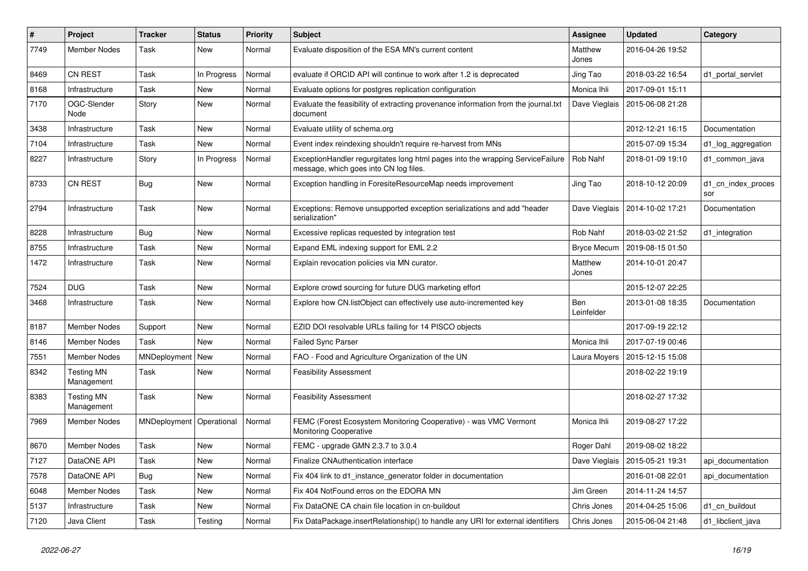| $\#$ | Project                         | <b>Tracker</b>             | <b>Status</b> | <b>Priority</b> | <b>Subject</b>                                                                                                           | <b>Assignee</b>   | <b>Updated</b>   | Category                  |
|------|---------------------------------|----------------------------|---------------|-----------------|--------------------------------------------------------------------------------------------------------------------------|-------------------|------------------|---------------------------|
| 7749 | <b>Member Nodes</b>             | Task                       | <b>New</b>    | Normal          | Evaluate disposition of the ESA MN's current content                                                                     | Matthew<br>Jones  | 2016-04-26 19:52 |                           |
| 8469 | <b>CN REST</b>                  | Task                       | In Progress   | Normal          | evaluate if ORCID API will continue to work after 1.2 is deprecated                                                      | Jing Tao          | 2018-03-22 16:54 | d1_portal_servlet         |
| 8168 | Infrastructure                  | Task                       | <b>New</b>    | Normal          | Evaluate options for postgres replication configuration                                                                  | Monica Ihli       | 2017-09-01 15:11 |                           |
| 7170 | OGC-Slender<br>Node             | Story                      | <b>New</b>    | Normal          | Evaluate the feasibility of extracting provenance information from the journal.txt<br>document                           | Dave Vieglais     | 2015-06-08 21:28 |                           |
| 3438 | Infrastructure                  | Task                       | New           | Normal          | Evaluate utility of schema.org                                                                                           |                   | 2012-12-21 16:15 | Documentation             |
| 7104 | Infrastructure                  | Task                       | New           | Normal          | Event index reindexing shouldn't require re-harvest from MNs                                                             |                   | 2015-07-09 15:34 | d1_log_aggregation        |
| 8227 | Infrastructure                  | Story                      | In Progress   | Normal          | ExceptionHandler regurgitates long html pages into the wrapping ServiceFailure<br>message, which goes into CN log files. | Rob Nahf          | 2018-01-09 19:10 | d1 common java            |
| 8733 | <b>CN REST</b>                  | <b>Bug</b>                 | New           | Normal          | Exception handling in ForesiteResourceMap needs improvement                                                              | Jing Tao          | 2018-10-12 20:09 | d1_cn_index_proces<br>sor |
| 2794 | Infrastructure                  | Task                       | New           | Normal          | Exceptions: Remove unsupported exception serializations and add "header<br>serialization"                                | Dave Vieglais     | 2014-10-02 17:21 | Documentation             |
| 8228 | Infrastructure                  | <b>Bug</b>                 | <b>New</b>    | Normal          | Excessive replicas requested by integration test                                                                         | Rob Nahf          | 2018-03-02 21:52 | d1 integration            |
| 8755 | Infrastructure                  | Task                       | <b>New</b>    | Normal          | Expand EML indexing support for EML 2.2                                                                                  | Bryce Mecum       | 2019-08-15 01:50 |                           |
| 1472 | Infrastructure                  | Task                       | New           | Normal          | Explain revocation policies via MN curator.                                                                              | Matthew<br>Jones  | 2014-10-01 20:47 |                           |
| 7524 | <b>DUG</b>                      | Task                       | <b>New</b>    | Normal          | Explore crowd sourcing for future DUG marketing effort                                                                   |                   | 2015-12-07 22:25 |                           |
| 3468 | Infrastructure                  | Task                       | New           | Normal          | Explore how CN.listObject can effectively use auto-incremented key                                                       | Ben<br>Leinfelder | 2013-01-08 18:35 | Documentation             |
| 8187 | <b>Member Nodes</b>             | Support                    | <b>New</b>    | Normal          | EZID DOI resolvable URLs failing for 14 PISCO objects                                                                    |                   | 2017-09-19 22:12 |                           |
| 8146 | <b>Member Nodes</b>             | Task                       | New           | Normal          | <b>Failed Sync Parser</b>                                                                                                | Monica Ihli       | 2017-07-19 00:46 |                           |
| 7551 | <b>Member Nodes</b>             | MNDeployment               | New           | Normal          | FAO - Food and Agriculture Organization of the UN                                                                        | Laura Moyers      | 2015-12-15 15:08 |                           |
| 8342 | <b>Testing MN</b><br>Management | Task                       | <b>New</b>    | Normal          | <b>Feasibility Assessment</b>                                                                                            |                   | 2018-02-22 19:19 |                           |
| 8383 | <b>Testing MN</b><br>Management | Task                       | New           | Normal          | <b>Feasibility Assessment</b>                                                                                            |                   | 2018-02-27 17:32 |                           |
| 7969 | Member Nodes                    | MNDeployment   Operational |               | Normal          | FEMC (Forest Ecosystem Monitoring Cooperative) - was VMC Vermont<br>Monitoring Cooperative                               | Monica Ihli       | 2019-08-27 17:22 |                           |
| 8670 | <b>Member Nodes</b>             | Task                       | New           | Normal          | FEMC - upgrade GMN 2.3.7 to 3.0.4                                                                                        | Roger Dahl        | 2019-08-02 18:22 |                           |
| 7127 | DataONE API                     | Task                       | <b>New</b>    | Normal          | Finalize CNAuthentication interface                                                                                      | Dave Vieglais     | 2015-05-21 19:31 | api documentation         |
| 7578 | DataONE API                     | Bug                        | <b>New</b>    | Normal          | Fix 404 link to d1 instance generator folder in documentation                                                            |                   | 2016-01-08 22:01 | api documentation         |
| 6048 | Member Nodes                    | <b>Task</b>                | New           | Normal          | Fix 404 NotFound erros on the EDORA MN                                                                                   | Jim Green         | 2014-11-24 14:57 |                           |
| 5137 | Infrastructure                  | Task                       | <b>New</b>    | Normal          | Fix DataONE CA chain file location in cn-buildout                                                                        | Chris Jones       | 2014-04-25 15:06 | d1 cn buildout            |
| 7120 | Java Client                     | <b>Task</b>                | Testing       | Normal          | Fix DataPackage.insertRelationship() to handle any URI for external identifiers                                          | Chris Jones       | 2015-06-04 21:48 | d1 libclient java         |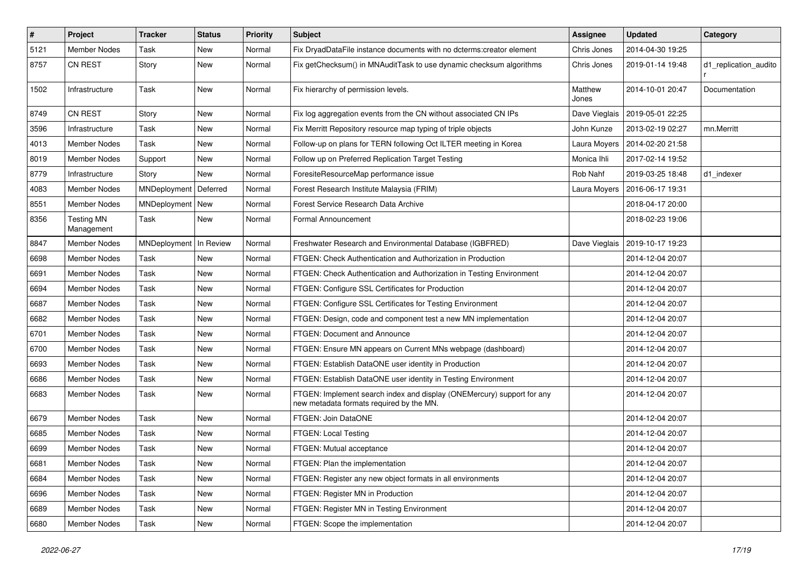| #    | Project                         | <b>Tracker</b>     | <b>Status</b> | <b>Priority</b> | Subject                                                                                                            | Assignee         | <b>Updated</b>   | Category              |
|------|---------------------------------|--------------------|---------------|-----------------|--------------------------------------------------------------------------------------------------------------------|------------------|------------------|-----------------------|
| 5121 | <b>Member Nodes</b>             | Task               | New           | Normal          | Fix DryadDataFile instance documents with no dcterms:creator element                                               | Chris Jones      | 2014-04-30 19:25 |                       |
| 8757 | CN REST                         | Story              | New           | Normal          | Fix getChecksum() in MNAuditTask to use dynamic checksum algorithms                                                | Chris Jones      | 2019-01-14 19:48 | d1_replication_audito |
| 1502 | Infrastructure                  | Task               | New           | Normal          | Fix hierarchy of permission levels.                                                                                | Matthew<br>Jones | 2014-10-01 20:47 | Documentation         |
| 8749 | <b>CN REST</b>                  | Story              | New           | Normal          | Fix log aggregation events from the CN without associated CN IPs                                                   | Dave Vieglais    | 2019-05-01 22:25 |                       |
| 3596 | Infrastructure                  | Task               | New           | Normal          | Fix Merritt Repository resource map typing of triple objects                                                       | John Kunze       | 2013-02-19 02:27 | mn.Merritt            |
| 4013 | <b>Member Nodes</b>             | Task               | New           | Normal          | Follow-up on plans for TERN following Oct ILTER meeting in Korea                                                   | Laura Moyers     | 2014-02-20 21:58 |                       |
| 8019 | Member Nodes                    | Support            | New           | Normal          | Follow up on Preferred Replication Target Testing                                                                  | Monica Ihli      | 2017-02-14 19:52 |                       |
| 8779 | Infrastructure                  | Story              | New           | Normal          | ForesiteResourceMap performance issue                                                                              | Rob Nahf         | 2019-03-25 18:48 | d1 indexer            |
| 4083 | <b>Member Nodes</b>             | MNDeployment       | Deferred      | Normal          | Forest Research Institute Malaysia (FRIM)                                                                          | Laura Moyers     | 2016-06-17 19:31 |                       |
| 8551 | Member Nodes                    | MNDeployment   New |               | Normal          | Forest Service Research Data Archive                                                                               |                  | 2018-04-17 20:00 |                       |
| 8356 | <b>Testing MN</b><br>Management | Task               | New           | Normal          | Formal Announcement                                                                                                |                  | 2018-02-23 19:06 |                       |
| 8847 | <b>Member Nodes</b>             | MNDeployment       | In Review     | Normal          | Freshwater Research and Environmental Database (IGBFRED)                                                           | Dave Vieglais    | 2019-10-17 19:23 |                       |
| 6698 | <b>Member Nodes</b>             | Task               | New           | Normal          | FTGEN: Check Authentication and Authorization in Production                                                        |                  | 2014-12-04 20:07 |                       |
| 6691 | Member Nodes                    | Task               | New           | Normal          | FTGEN: Check Authentication and Authorization in Testing Environment                                               |                  | 2014-12-04 20:07 |                       |
| 6694 | Member Nodes                    | Task               | <b>New</b>    | Normal          | FTGEN: Configure SSL Certificates for Production                                                                   |                  | 2014-12-04 20:07 |                       |
| 6687 | <b>Member Nodes</b>             | Task               | New           | Normal          | FTGEN: Configure SSL Certificates for Testing Environment                                                          |                  | 2014-12-04 20:07 |                       |
| 6682 | <b>Member Nodes</b>             | Task               | New           | Normal          | FTGEN: Design, code and component test a new MN implementation                                                     |                  | 2014-12-04 20:07 |                       |
| 6701 | <b>Member Nodes</b>             | Task               | New           | Normal          | FTGEN: Document and Announce                                                                                       |                  | 2014-12-04 20:07 |                       |
| 6700 | Member Nodes                    | Task               | New           | Normal          | FTGEN: Ensure MN appears on Current MNs webpage (dashboard)                                                        |                  | 2014-12-04 20:07 |                       |
| 6693 | <b>Member Nodes</b>             | Task               | New           | Normal          | FTGEN: Establish DataONE user identity in Production                                                               |                  | 2014-12-04 20:07 |                       |
| 6686 | <b>Member Nodes</b>             | Task               | New           | Normal          | FTGEN: Establish DataONE user identity in Testing Environment                                                      |                  | 2014-12-04 20:07 |                       |
| 6683 | <b>Member Nodes</b>             | Task               | New           | Normal          | FTGEN: Implement search index and display (ONEMercury) support for any<br>new metadata formats required by the MN. |                  | 2014-12-04 20:07 |                       |
| 6679 | Member Nodes                    | Task               | New           | Normal          | FTGEN: Join DataONE                                                                                                |                  | 2014-12-04 20:07 |                       |
| 6685 | Member Nodes                    | Task               | New           | Normal          | FTGEN: Local Testing                                                                                               |                  | 2014-12-04 20:07 |                       |
| 6699 | <b>Member Nodes</b>             | Task               | New           | Normal          | FTGEN: Mutual acceptance                                                                                           |                  | 2014-12-04 20:07 |                       |
| 6681 | Member Nodes                    | Task               | New           | Normal          | FTGEN: Plan the implementation                                                                                     |                  | 2014-12-04 20:07 |                       |
| 6684 | <b>Member Nodes</b>             | Task               | New           | Normal          | FTGEN: Register any new object formats in all environments                                                         |                  | 2014-12-04 20:07 |                       |
| 6696 | <b>Member Nodes</b>             | Task               | New           | Normal          | FTGEN: Register MN in Production                                                                                   |                  | 2014-12-04 20:07 |                       |
| 6689 | <b>Member Nodes</b>             | Task               | New           | Normal          | FTGEN: Register MN in Testing Environment                                                                          |                  | 2014-12-04 20:07 |                       |
| 6680 | <b>Member Nodes</b>             | Task               | New           | Normal          | FTGEN: Scope the implementation                                                                                    |                  | 2014-12-04 20:07 |                       |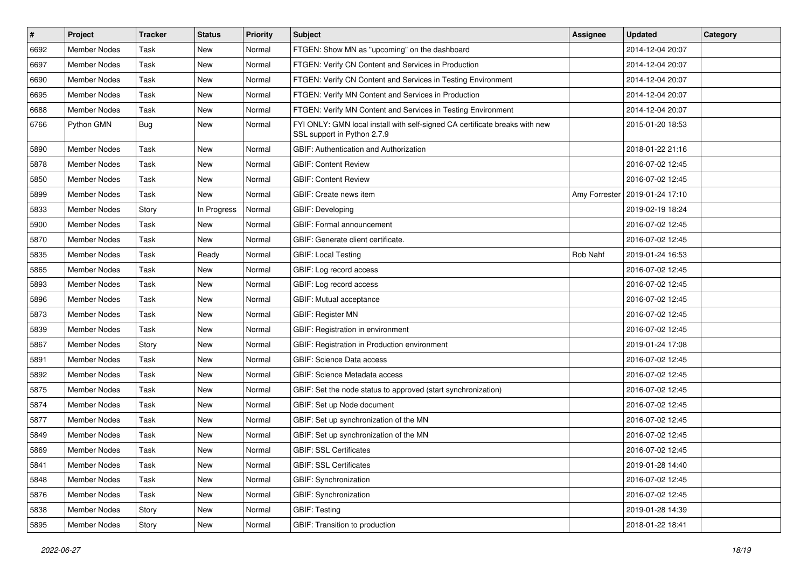| $\#$ | <b>Project</b>      | <b>Tracker</b> | <b>Status</b> | <b>Priority</b> | <b>Subject</b>                                                                                             | Assignee      | <b>Updated</b>   | Category |
|------|---------------------|----------------|---------------|-----------------|------------------------------------------------------------------------------------------------------------|---------------|------------------|----------|
| 6692 | <b>Member Nodes</b> | Task           | New           | Normal          | FTGEN: Show MN as "upcoming" on the dashboard                                                              |               | 2014-12-04 20:07 |          |
| 6697 | <b>Member Nodes</b> | Task           | New           | Normal          | FTGEN: Verify CN Content and Services in Production                                                        |               | 2014-12-04 20:07 |          |
| 6690 | <b>Member Nodes</b> | Task           | New           | Normal          | FTGEN: Verify CN Content and Services in Testing Environment                                               |               | 2014-12-04 20:07 |          |
| 6695 | <b>Member Nodes</b> | Task           | <b>New</b>    | Normal          | FTGEN: Verify MN Content and Services in Production                                                        |               | 2014-12-04 20:07 |          |
| 6688 | <b>Member Nodes</b> | Task           | New           | Normal          | FTGEN: Verify MN Content and Services in Testing Environment                                               |               | 2014-12-04 20:07 |          |
| 6766 | Python GMN          | <b>Bug</b>     | New           | Normal          | FYI ONLY: GMN local install with self-signed CA certificate breaks with new<br>SSL support in Python 2.7.9 |               | 2015-01-20 18:53 |          |
| 5890 | <b>Member Nodes</b> | Task           | New           | Normal          | GBIF: Authentication and Authorization                                                                     |               | 2018-01-22 21:16 |          |
| 5878 | <b>Member Nodes</b> | Task           | New           | Normal          | <b>GBIF: Content Review</b>                                                                                |               | 2016-07-02 12:45 |          |
| 5850 | <b>Member Nodes</b> | Task           | <b>New</b>    | Normal          | <b>GBIF: Content Review</b>                                                                                |               | 2016-07-02 12:45 |          |
| 5899 | <b>Member Nodes</b> | Task           | New           | Normal          | GBIF: Create news item                                                                                     | Amy Forrester | 2019-01-24 17:10 |          |
| 5833 | <b>Member Nodes</b> | Story          | In Progress   | Normal          | GBIF: Developing                                                                                           |               | 2019-02-19 18:24 |          |
| 5900 | <b>Member Nodes</b> | Task           | New           | Normal          | GBIF: Formal announcement                                                                                  |               | 2016-07-02 12:45 |          |
| 5870 | <b>Member Nodes</b> | Task           | New           | Normal          | GBIF: Generate client certificate.                                                                         |               | 2016-07-02 12:45 |          |
| 5835 | <b>Member Nodes</b> | Task           | Ready         | Normal          | <b>GBIF: Local Testing</b>                                                                                 | Rob Nahf      | 2019-01-24 16:53 |          |
| 5865 | Member Nodes        | Task           | New           | Normal          | GBIF: Log record access                                                                                    |               | 2016-07-02 12:45 |          |
| 5893 | Member Nodes        | Task           | New           | Normal          | GBIF: Log record access                                                                                    |               | 2016-07-02 12:45 |          |
| 5896 | <b>Member Nodes</b> | Task           | New           | Normal          | GBIF: Mutual acceptance                                                                                    |               | 2016-07-02 12:45 |          |
| 5873 | <b>Member Nodes</b> | Task           | New           | Normal          | GBIF: Register MN                                                                                          |               | 2016-07-02 12:45 |          |
| 5839 | <b>Member Nodes</b> | Task           | New           | Normal          | GBIF: Registration in environment                                                                          |               | 2016-07-02 12:45 |          |
| 5867 | <b>Member Nodes</b> | Story          | New           | Normal          | GBIF: Registration in Production environment                                                               |               | 2019-01-24 17:08 |          |
| 5891 | <b>Member Nodes</b> | Task           | New           | Normal          | <b>GBIF: Science Data access</b>                                                                           |               | 2016-07-02 12:45 |          |
| 5892 | <b>Member Nodes</b> | Task           | New           | Normal          | <b>GBIF: Science Metadata access</b>                                                                       |               | 2016-07-02 12:45 |          |
| 5875 | Member Nodes        | Task           | New           | Normal          | GBIF: Set the node status to approved (start synchronization)                                              |               | 2016-07-02 12:45 |          |
| 5874 | <b>Member Nodes</b> | Task           | New           | Normal          | GBIF: Set up Node document                                                                                 |               | 2016-07-02 12:45 |          |
| 5877 | <b>Member Nodes</b> | Task           | New           | Normal          | GBIF: Set up synchronization of the MN                                                                     |               | 2016-07-02 12:45 |          |
| 5849 | <b>Member Nodes</b> | Task           | New           | Normal          | GBIF: Set up synchronization of the MN                                                                     |               | 2016-07-02 12:45 |          |
| 5869 | <b>Member Nodes</b> | Task           | New           | Normal          | <b>GBIF: SSL Certificates</b>                                                                              |               | 2016-07-02 12:45 |          |
| 5841 | <b>Member Nodes</b> | Task           | New           | Normal          | <b>GBIF: SSL Certificates</b>                                                                              |               | 2019-01-28 14:40 |          |
| 5848 | Member Nodes        | Task           | New           | Normal          | GBIF: Synchronization                                                                                      |               | 2016-07-02 12:45 |          |
| 5876 | <b>Member Nodes</b> | Task           | New           | Normal          | <b>GBIF: Synchronization</b>                                                                               |               | 2016-07-02 12:45 |          |
| 5838 | Member Nodes        | Story          | New           | Normal          | GBIF: Testing                                                                                              |               | 2019-01-28 14:39 |          |
| 5895 | Member Nodes        | Story          | New           | Normal          | GBIF: Transition to production                                                                             |               | 2018-01-22 18:41 |          |